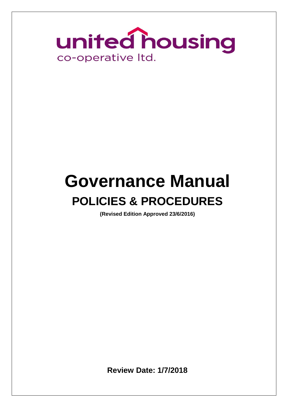

# **Governance Manual POLICIES & PROCEDURES**

**(Revised Edition Approved 23/6/2016)** 

**Review Date: 1/7/2018**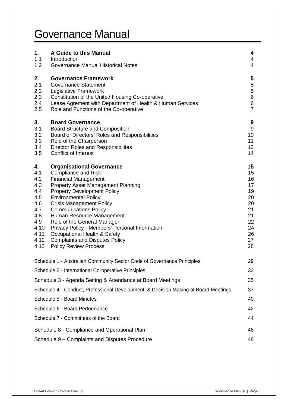# Governance Manual

| 1.<br>1.1<br>1.2                                                                                  | A Guide to this Manual<br>Introduction<br><b>Governance Manual Historical Notes</b>                                                                                                                                                                                                                                                                                                                                                                                                                | 4<br>4<br>$\overline{\mathcal{A}}$                                               |
|---------------------------------------------------------------------------------------------------|----------------------------------------------------------------------------------------------------------------------------------------------------------------------------------------------------------------------------------------------------------------------------------------------------------------------------------------------------------------------------------------------------------------------------------------------------------------------------------------------------|----------------------------------------------------------------------------------|
| 2.<br>2.1<br>2.2<br>2.3<br>2.4<br>2.5                                                             | <b>Governance Framework</b><br><b>Governance Statement</b><br>Legislative Framework<br>Constitution of the United Housing Co-operative<br>Lease Agrement with Department of Health & Human Services<br>Role and Functions of the Co-operative                                                                                                                                                                                                                                                      | $\overline{\mathbf{5}}$<br>5<br>5<br>6<br>$\,6$<br>$\overline{7}$                |
| 3.<br>3.1<br>3.2<br>3.3<br>3.4<br>3.5                                                             | <b>Board Governance</b><br><b>Board Structure and Composition</b><br>Board of Directors' Roles and Responsibilities<br>Role of the Chairperson<br><b>Director Roles and Responsibilites</b><br><b>Conflict of Interest</b>                                                                                                                                                                                                                                                                         | $\boldsymbol{9}$<br>$9\,$<br>10<br>11<br>12<br>14                                |
| 4.<br>4.1<br>4.2<br>4.3<br>4.4<br>4.5<br>4.6<br>4.7<br>4.8<br>4.9<br>4.10<br>4.11<br>4.12<br>4.13 | <b>Organisational Governance</b><br><b>Compliance and Risk</b><br><b>Financial Management</b><br>Property Asset Management Planning<br><b>Property Development Policy</b><br><b>Environmental Policy</b><br><b>Crisis Management Policy</b><br><b>Communications Policy</b><br>Human Resource Management<br>Role of the General Manager<br>Privacy Policy - Members' Personal Information<br>Occupational Health & Safety<br><b>Complaints and Disputes Policy</b><br><b>Policy Review Process</b> | 15<br>15<br>16<br>17<br>19<br>20<br>20<br>21<br>21<br>22<br>24<br>26<br>27<br>28 |
|                                                                                                   | Schedule 1 - Australian Community Sector Code of Governance Principles                                                                                                                                                                                                                                                                                                                                                                                                                             | 29                                                                               |
|                                                                                                   | Schedule 2 - International Co-operative Principles                                                                                                                                                                                                                                                                                                                                                                                                                                                 | 33                                                                               |
|                                                                                                   | Schedule 3 - Agenda Setting & Attendance at Board Meetings                                                                                                                                                                                                                                                                                                                                                                                                                                         | 35                                                                               |
|                                                                                                   | Schedule 4 - Conduct, Professional Development & Decision Making at Board Meetings                                                                                                                                                                                                                                                                                                                                                                                                                 | 37                                                                               |
|                                                                                                   | Schedule 5 - Board Minutes                                                                                                                                                                                                                                                                                                                                                                                                                                                                         | 40                                                                               |
|                                                                                                   | Schedule 6 - Board Performance                                                                                                                                                                                                                                                                                                                                                                                                                                                                     | 42                                                                               |
|                                                                                                   | Schedule 7 - Committees of the Board                                                                                                                                                                                                                                                                                                                                                                                                                                                               | 44                                                                               |
| Schedule 8 - Compliance and Operational Plan                                                      |                                                                                                                                                                                                                                                                                                                                                                                                                                                                                                    |                                                                                  |
|                                                                                                   | Schedule 9 - Complaints and Disputes Procedure                                                                                                                                                                                                                                                                                                                                                                                                                                                     |                                                                                  |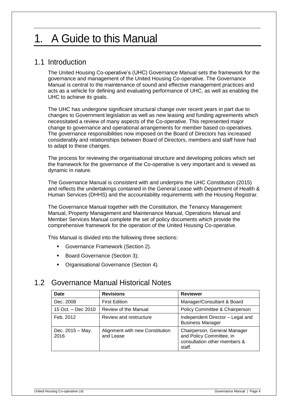# 1. A Guide to this Manual

# 1.1 Introduction

The United Housing Co-operative's (UHC) Governance Manual sets the framework for the governance and management of the United Housing Co-operative. The Governance Manual is central to the maintenance of sound and effective management practices and acts as a vehicle for defining and evaluating performance of UHC, as well as enabling the UHC to achieve its goals.

The UHC has undergone significant structural change over recent years in part due to changes to Government legislation as well as new leasing and funding agreements which necessitated a review of many aspects of the Co-operative. This represented major change to governance and operational arrangements for member based co-operatives. The governance responsibilities now imposed on the Board of Directors has increased considerably and relationships between Board of Directors, members and staff have had to adapt to these changes.

The process for reviewing the organisational structure and developing policies which set the framework for the governance of the Co-operative is very important and is viewed as dynamic in nature.

The Governance Manual is consistent with and underpins the UHC Constitution (2015) and reflects the undertakings contained in the General Lease with Department of Health & Human Services (DHHS) and the accountability requirements with the Housing Registrar.

The Governance Manual together with the Constitution, the Tenancy Management Manual, Property Management and Maintenance Manual, Operations Manual and Member Services Manual complete the set of policy documents which provide the comprehensive framework for the operation of the United Housing Co-operative.

This Manual is divided into the following three sections:

- Governance Framework (Section 2).
- Board Governance (Section 3);
- **Organisational Governance (Section 4).**

# 1.2 Governance Manual Historical Notes

| <b>Date</b>              | <b>Revisions</b>                             | <b>Reviewer</b>                                                                                    |
|--------------------------|----------------------------------------------|----------------------------------------------------------------------------------------------------|
| Dec. 2008                | <b>First Edition</b>                         | Manager/Consultant & Board                                                                         |
| 15 Oct. – Dec 2010       | Review of the Manual                         | Policy Committee & Chairperson                                                                     |
| Feb. 2012                | Review and restructure                       | Independent Director - Legal and<br><b>Business Manager</b>                                        |
| Dec. 2015 - May.<br>2016 | Alignment with new Constitution<br>and Lease | Chairperson, General Manager<br>and Policy Committee, in<br>consultation other members &<br>staff. |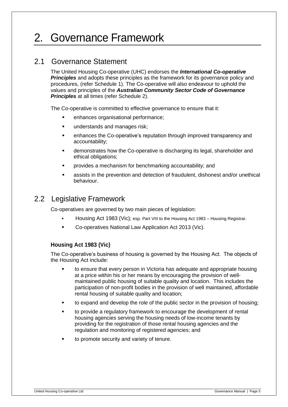# 2. Governance Framework

# 2.1 Governance Statement

The United Housing Co-operative (UHC) endorses the *International Co-operative*  **Principles** and adopts these principles as the framework for its governance policy and procedures, (refer Schedule 1). The Co-operative will also endeavour to uphold the values and principles of the *Australian Community Sector Code of Governance Principles* at all times (refer Schedule 2).

The Co-operative is committed to effective governance to ensure that it:

- **EXECUTE:** enhances organisational performance;
- understands and manages risk;
- enhances the Co-operative's reputation through improved transparency and accountability;
- demonstrates how the Co-operative is discharging its legal, shareholder and ethical obligations;
- provides a mechanism for benchmarking accountability; and
- assists in the prevention and detection of fraudulent, dishonest and/or unethical behaviour.

# 2.2 Legislative Framework

Co-operatives are governed by two main pieces of legislation:

- Housing Act 1983 (Vic); esp. Part VIII to the Housing Act 1983 Housing Registrar.
- **Co-operatives National Law Application Act 2013 (Vic).**

## **Housing Act 1983 (Vic)**

The Co-operative's business of housing is governed by the Housing Act. The objects of the Housing Act include:

- to ensure that every person in Victoria has adequate and appropriate housing at a price within his or her means by encouraging the provision of wellmaintained public housing of suitable quality and location. This includes the participation of non-profit bodies in the provision of well maintained, affordable rental housing of suitable quality and location;
- to expand and develop the role of the public sector in the provision of housing;
- to provide a regulatory framework to encourage the development of rental housing agencies serving the housing needs of low-income tenants by providing for the registration of those rental housing agencies and the regulation and monitoring of registered agencies; and
- to promote security and variety of tenure.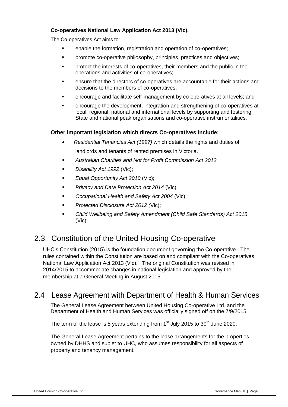# **Co-operatives National Law Application Act 2013 (Vic).**

The Co-operatives Act aims to:

- **EXECT** enable the formation, registration and operation of co-operatives;
- **•** promote co-operative philosophy, principles, practices and objectives;
- protect the interests of co-operatives, their members and the public in the operations and activities of co-operatives;
- ensure that the directors of co-operatives are accountable for their actions and decisions to the members of co-operatives;
- encourage and facilitate self-management by co-operatives at all levels; and
- encourage the development, integration and strengthening of co-operatives at local, regional, national and international levels by supporting and fostering State and national peak organisations and co-operative instrumentalities.

## **Other important legislation which directs Co-operatives include:**

- *Residential Tenancies Act (1997)* which details the rights and duties of landlords and tenants of rented premises in Victoria.
- *Australian Charities and Not for Profit Commission Act 2012*
- *Disability Act 1992* (Vic);
- *Equal Opportunity Act 2010* (Vic);
- *Privacy and Data Protection Act 2014* (Vic);
- *Occupational Health and Safety Act 2004* (Vic);
- *Protected Disclosure Act 2012 (*Vic);
- *Child Wellbeing and Safety Amendment (Child Safe Standards) Act 2015*  (Vic).

# 2.3 Constitution of the United Housing Co-operative

UHC's Constitution (2015) is the foundation document governing the Co-operative. The rules contained within the Constitution are based on and compliant with the Co-operatives National Law Application Act 2013 (Vic). The original Constitution was revised in 2014/2015 to accommodate changes in national legislation and approved by the membership at a General Meeting in August 2015.

# 2.4 Lease Agreement with Department of Health & Human Services

The General Lease Agreement between United Housing Co-operative Ltd. and the Department of Health and Human Services was officially signed off on the 7/9/2015.

The term of the lease is 5 years extending from  $1<sup>st</sup>$  July 2015 to 30<sup>th</sup> June 2020.

The General Lease Agreement pertains to the lease arrangements for the properties owned by DHHS and sublet to UHC, who assumes responsibility for all aspects of property and tenancy management.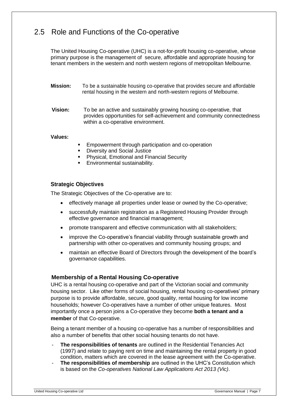# 2.5 Role and Functions of the Co-operative

The United Housing Co-operative (UHC) is a not-for-profit housing co-operative, whose primary purpose is the management of secure, affordable and appropriate housing for tenant members in the western and north western regions of metropolitan Melbourne.

- **Mission:** To be a sustainable housing co-operative that provides secure and affordable rental housing in the western and north-western regions of Melbourne.
- **Vision:** To be an active and sustainably growing housing co-operative, that provides opportunities for self-achievement and community connectedness within a co-operative environment.

#### **Values:**

- **Empowerment through participation and co-operation**
- Diversity and Social Justice
- Physical, Emotional and Financial Security
- Environmental sustainability.

## **Strategic Objectives**

The Strategic Objectives of the Co-operative are to:

- effectively manage all properties under lease or owned by the Co-operative;
- successfully maintain registration as a Registered Housing Provider through effective governance and financial management;
- promote transparent and effective communication with all stakeholders;
- improve the Co-operative's financial viability through sustainable growth and partnership with other co-operatives and community housing groups; and
- maintain an effective Board of Directors through the development of the board's governance capabilities.

### **Membership of a Rental Housing Co-operative**

UHC is a rental housing co-operative and part of the Victorian social and community housing sector. Like other forms of social housing, rental housing co-operatives' primary purpose is to provide affordable, secure, good quality, rental housing for low income households; however Co-operatives have a number of other unique features. Most importantly once a person joins a Co-operative they become **both a tenant and a member** of that Co-operative.

Being a tenant member of a housing co-operative has a number of responsibilities and also a number of benefits that other social housing tenants do not have.

- **The responsibilities of tenants** are outlined in the Residential Tenancies Act (1997) and relate to paying rent on time and maintaining the rental property in good condition, matters which are covered in the lease agreement with the Co-operative.
- The responsibilities of membership are outlined in the UHC's Constitution which is based on the *Co-operatives National Law Applications Act 2013 (Vic)*.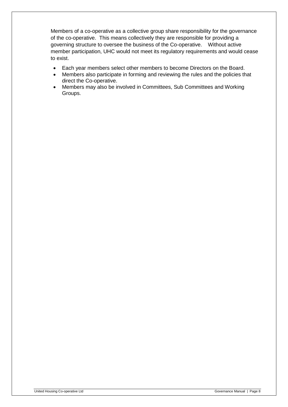Members of a co-operative as a collective group share responsibility for the governance of the co-operative. This means collectively they are responsible for providing a governing structure to oversee the business of the Co-operative. Without active member participation, UHC would not meet its regulatory requirements and would cease to exist.

- Each year members select other members to become Directors on the Board.
- Members also participate in forming and reviewing the rules and the policies that direct the Co-operative.
- Members may also be involved in Committees, Sub Committees and Working Groups.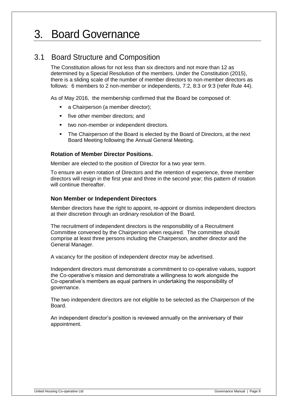# 3. Board Governance

# 3.1 Board Structure and Composition

The Constitution allows for not less than six directors and not more than 12 as determined by a Special Resolution of the members. Under the Constitution (2015), there is a sliding scale of the number of member directors to non-member directors as follows: 6 members to 2 non-member or independents, 7:2, 8:3 or 9:3 (refer Rule 44).

As of May 2016, the membership confirmed that the Board be composed of:

- a Chairperson (a member director);
- **Five other member directors; and**
- two non-member or independent directors.
- The Chairperson of the Board is elected by the Board of Directors, at the next Board Meeting following the Annual General Meeting.

## **Rotation of Member Director Positions.**

Member are elected to the position of Director for a two year term.

To ensure an even rotation of Directors and the retention of experience, three member directors will resign in the first year and three in the second year; this pattern of rotation will continue thereafter.

### **Non Member or Independent Directors**

Member directors have the right to appoint, re-appoint or dismiss independent directors at their discretion through an ordinary resolution of the Board.

The recruitment of independent directors is the responsibility of a Recruitment Committee convened by the Chairperson when required. The committee should comprise at least three persons including the Chairperson, another director and the General Manager.

A vacancy for the position of independent director may be advertised.

Independent directors must demonstrate a commitment to co-operative values, support the Co-operative's mission and demonstrate a willingness to work alongside the Co-operative's members as equal partners in undertaking the responsibility of governance.

The two independent directors are not eligible to be selected as the Chairperson of the **Board** 

An independent director's position is reviewed annually on the anniversary of their appointment.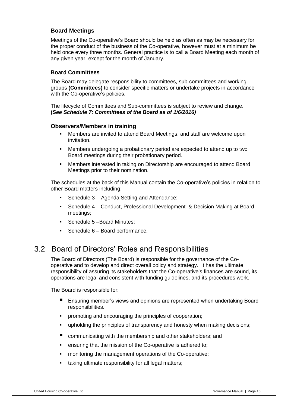# **Board Meetings**

Meetings of the Co-operative's Board should be held as often as may be necessary for the proper conduct of the business of the Co-operative, however must at a minimum be held once every three months. General practice is to call a Board Meeting each month of any given year, except for the month of January.

## **Board Committees**

The Board may delegate responsibility to committees, sub-committees and working groups **(Committees)** to consider specific matters or undertake projects in accordance with the Co-operative's policies.

The lifecycle of Committees and Sub-committees is subject to review and change. **(***See Schedule 7: Committees of the Board as of 1/6/2016)* 

### **Observers/Members in training**

- Members are invited to attend Board Meetings, and staff are welcome upon invitation.
- Members undergoing a probationary period are expected to attend up to two Board meetings during their probationary period.
- Members interested in taking on Directorship are encouraged to attend Board Meetings prior to their nomination.

The schedules at the back of this Manual contain the Co-operative's policies in relation to other Board matters including:

- Schedule 3 Agenda Setting and Attendance;
- Schedule 4 Conduct, Professional Development & Decision Making at Board meetings;
- Schedule 5-Board Minutes;
- Schedule 6 Board performance.

# 3.2 Board of Directors' Roles and Responsibilities

The Board of Directors (The Board) is responsible for the governance of the Cooperative and to develop and direct overall policy and strategy. It has the ultimate responsibility of assuring its stakeholders that the Co-operative's finances are sound, its operations are legal and consistent with funding guidelines, and its procedures work.

The Board is responsible for:

- Ensuring member's views and opinions are represented when undertaking Board responsibilities.
- **•** promoting and encouraging the principles of cooperation;
- **•** upholding the principles of transparency and honesty when making decisions;
- communicating with the membership and other stakeholders; and
- ensuring that the mission of the Co-operative is adhered to;
- monitoring the management operations of the Co-operative;
- taking ultimate responsibility for all legal matters;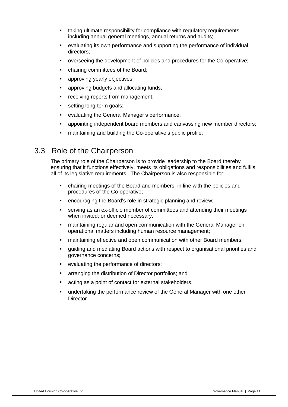- taking ultimate responsibility for compliance with regulatory requirements including annual general meetings, annual returns and audits;
- evaluating its own performance and supporting the performance of individual directors;
- overseeing the development of policies and procedures for the Co-operative;
- chairing committees of the Board;
- **EXECUTE:** approving yearly objectives;
- approving budgets and allocating funds;
- **•** receiving reports from management;
- **setting long-term goals;**
- **EXECTE:** evaluating the General Manager's performance;
- **•** appointing independent board members and canvassing new member directors;
- maintaining and building the Co-operative's public profile;

# 3.3 Role of the Chairperson

The primary role of the Chairperson is to provide leadership to the Board thereby ensuring that it functions effectively, meets its obligations and responsibilities and fulfils all of its legislative requirements. The Chairperson is also responsible for:

- chairing meetings of the Board and members in line with the policies and procedures of the Co-operative;
- **EXE** encouraging the Board's role in strategic planning and review;
- serving as an ex-officio member of committees and attending their meetings when invited; or deemed necessary.
- maintaining regular and open communication with the General Manager on operational matters including human resource management;
- maintaining effective and open communication with other Board members;
- guiding and mediating Board actions with respect to organisational priorities and governance concerns;
- **EXECTE:** evaluating the performance of directors;
- **EXECT** arranging the distribution of Director portfolios; and
- acting as a point of contact for external stakeholders.
- undertaking the performance review of the General Manager with one other Director.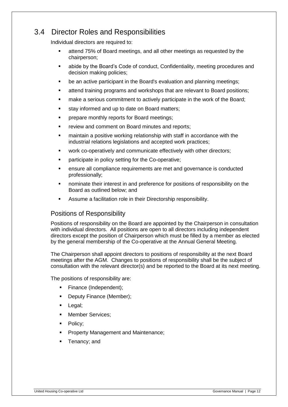# 3.4 Director Roles and Responsibilities

Individual directors are required to:

- attend 75% of Board meetings, and all other meetings as requested by the chairperson;
- abide by the Board's Code of conduct, Confidentiality, meeting procedures and decision making policies;
- be an active participant in the Board's evaluation and planning meetings;
- attend training programs and workshops that are relevant to Board positions;
- make a serious commitment to actively participate in the work of the Board;
- **stay informed and up to date on Board matters;**
- **Parable 2 Ferama prepare monthly reports for Board meetings;**
- **F** review and comment on Board minutes and reports;
- maintain a positive working relationship with staff in accordance with the industrial relations legislations and accepted work practices;
- **•** work co-operatively and communicate effectively with other directors;
- **•** participate in policy setting for the Co-operative;
- ensure all compliance requirements are met and governance is conducted professionally;
- nominate their interest in and preference for positions of responsibility on the Board as outlined below; and
- Assume a facilitation role in their Directorship responsibility.

# Positions of Responsibility

Positions of responsibility on the Board are appointed by the Chairperson in consultation with individual directors. All positions are open to all directors including independent directors except the position of Chairperson which must be filled by a member as elected by the general membership of the Co-operative at the Annual General Meeting.

The Chairperson shall appoint directors to positions of responsibility at the next Board meetings after the AGM. Changes to positions of responsibility shall be the subject of consultation with the relevant director(s) and be reported to the Board at its next meeting.

The positions of responsibility are:

- Finance (Independent);
- Deputy Finance (Member);
- Legal;
- **Member Services;**
- Policy;
- Property Management and Maintenance;
- Tenancy; and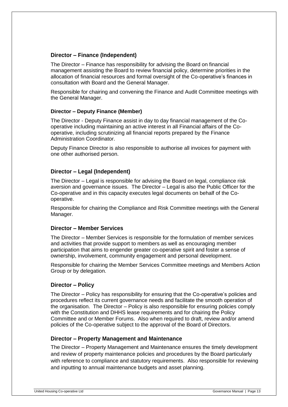### **Director – Finance (Independent)**

The Director – Finance has responsibility for advising the Board on financial management assisting the Board to review financial policy, determine priorities in the allocation of financial resources and formal oversight of the Co-operative's finances in consultation with Board and the General Manager.

Responsible for chairing and convening the Finance and Audit Committee meetings with the General Manager.

### **Director – Deputy Finance (Member)**

The Director - Deputy Finance assist in day to day financial management of the Cooperative including maintaining an active interest in all Financial affairs of the Cooperative, including scrutinizing all financial reports prepared by the Finance Administration Coordinator.

Deputy Finance Director is also responsible to authorise all invoices for payment with one other authorised person.

## **Director – Legal (Independent)**

The Director – Legal is responsible for advising the Board on legal, compliance risk aversion and governance issues. The Director – Legal is also the Public Officer for the Co-operative and in this capacity executes legal documents on behalf of the Cooperative.

Responsible for chairing the Compliance and Risk Committee meetings with the General Manager.

### **Director – Member Services**

The Director – Member Services is responsible for the formulation of member services and activities that provide support to members as well as encouraging member participation that aims to engender greater co-operative spirit and foster a sense of ownership, involvement, community engagement and personal development.

Responsible for chairing the Member Services Committee meetings and Members Action Group or by delegation.

### **Director – Policy**

The Director – Policy has responsibility for ensuring that the Co-operative's policies and procedures reflect its current governance needs and facilitate the smooth operation of the organisation. The Director – Policy is also responsible for ensuring policies comply with the Constitution and DHHS lease requirements and for chairing the Policy Committee and or Member Forums. Also when required to draft, review and/or amend policies of the Co-operative subject to the approval of the Board of Directors.

### **Director – Property Management and Maintenance**

The Director – Property Management and Maintenance ensures the timely development and review of property maintenance policies and procedures by the Board particularly with reference to compliance and statutory requirements. Also responsible for reviewing and inputting to annual maintenance budgets and asset planning.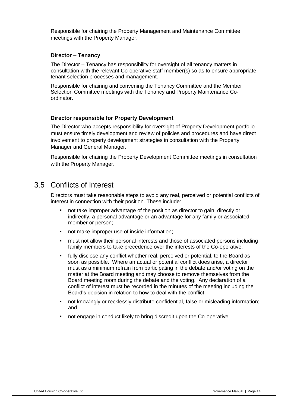Responsible for chairing the Property Management and Maintenance Committee meetings with the Property Manager.

### **Director – Tenancy**

The Director – Tenancy has responsibility for oversight of all tenancy matters in consultation with the relevant Co-operative staff member(s) so as to ensure appropriate tenant selection processes and management.

Responsible for chairing and convening the Tenancy Committee and the Member Selection Committee meetings with the Tenancy and Property Maintenance Coordinator.

#### **Director responsible for Property Development**

The Director who accepts responsibility for oversight of Property Development portfolio must ensure timely development and review of policies and procedures and have direct involvement to property development strategies in consultation with the Property Manager and General Manager.

Responsible for chairing the Property Development Committee meetings in consultation with the Property Manager.

# 3.5 Conflicts of Interest

Directors must take reasonable steps to avoid any real, perceived or potential conflicts of interest in connection with their position. These include:

- not take improper advantage of the position as director to gain, directly or indirectly, a personal advantage or an advantage for any family or associated member or person;
- **not make improper use of inside information;**
- must not allow their personal interests and those of associated persons including family members to take precedence over the interests of the Co-operative;
- **Filly disclose any conflict whether real, perceived or potential, to the Board as** soon as possible. Where an actual or potential conflict does arise, a director must as a minimum refrain from participating in the debate and/or voting on the matter at the Board meeting and may choose to remove themselves from the Board meeting room during the debate and the voting. Any declaration of a conflict of interest must be recorded in the minutes of the meeting including the Board's decision in relation to how to deal with the conflict;
- not knowingly or recklessly distribute confidential, false or misleading information; and
- not engage in conduct likely to bring discredit upon the Co-operative.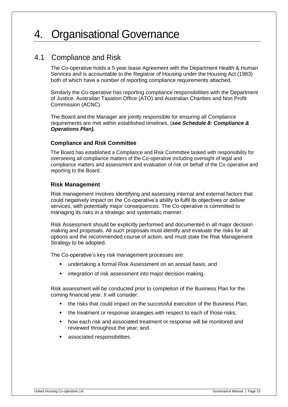# 4. Organisational Governance

# 4.1 Compliance and Risk

The Co-operative holds a 5 year lease Agreement with the Department Health & Human Services and is accountable to the Registrar of Housing under the Housing Act (1983) both of which have a number of reporting compliance requirements attached.

Similarly the Co-operative has reporting compliance responsibilities with the Department of Justice, Australian Taxation Office (ATO) and Australian Charities and Non Profit Commission (ACNC).

The Board and the Manager are jointly responsible for ensuring all Compliance requirements are met within established timelines, (*see Schedule 8: Compliance & Operations Plan).* 

## **Compliance and Risk Committee**

The Board has established a Compliance and Risk Committee tasked with responsibility for overseeing all compliance matters of the Co-operative including oversight of legal and compliance matters and assessment and evaluation of risk on behalf of the Co-operative and reporting to the Board.

## **Risk Management**

Risk management involves identifying and assessing internal and external factors that could negatively impact on the Co-operative's ability to fulfil its objectives or deliver services, with potentially major consequences. The Co-operative is committed to managing its risks in a strategic and systematic manner.

Risk Assessment should be explicitly performed and documented in all major decision making and proposals. All such proposals must identify and evaluate the risks for all options and the recommended course of action, and must state the Risk Management Strategy to be adopted.

The Co-operative's key risk management processes are:

- undertaking a formal Risk Assessment on an annual basis; and
- integration of risk assessment into major decision-making.

Risk assessment will be conducted prior to completion of the Business Plan for the coming financial year. It will consider:

- the risks that could impact on the successful execution of the Business Plan;
- the treatment or response strategies with respect to each of those risks;
- how each risk and associated treatment or response will be monitored and reviewed throughout the year; and
- associated responsibilities.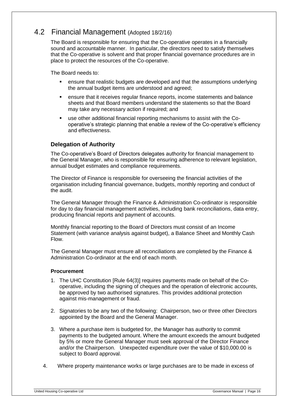# 4.2 Financial Management (Adopted 18/2/16)

The Board is responsible for ensuring that the Co-operative operates in a financially sound and accountable manner. In particular, the directors need to satisfy themselves that the Co-operative is solvent and that proper financial governance procedures are in place to protect the resources of the Co-operative.

The Board needs to:

- ensure that realistic budgets are developed and that the assumptions underlying the annual budget items are understood and agreed;
- ensure that it receives regular finance reports, income statements and balance sheets and that Board members understand the statements so that the Board may take any necessary action if required; and
- use other additional financial reporting mechanisms to assist with the Cooperative's strategic planning that enable a review of the Co-operative's efficiency and effectiveness.

## **Delegation of Authority**

The Co-operative's Board of Directors delegates authority for financial management to the General Manager, who is responsible for ensuring adherence to relevant legislation, annual budget estimates and compliance requirements.

The Director of Finance is responsible for overseeing the financial activities of the organisation including financial governance, budgets, monthly reporting and conduct of the audit.

The General Manager through the Finance & Administration Co-ordinator is responsible for day to day financial management activities, including bank reconciliations, data entry, producing financial reports and payment of accounts.

Monthly financial reporting to the Board of Directors must consist of an Income Statement (with variance analysis against budget), a Balance Sheet and Monthly Cash Flow.

The General Manager must ensure all reconciliations are completed by the Finance & Administration Co-ordinator at the end of each month.

### **Procurement**

- 1. The UHC Constitution [Rule 64(3)] requires payments made on behalf of the Cooperative, including the signing of cheques and the operation of electronic accounts, be approved by two authorised signatures. This provides additional protection against mis-management or fraud.
- 2. Signatories to be any two of the following: Chairperson, two or three other Directors appointed by the Board and the General Manager.
- 3. Where a purchase item is budgeted for, the Manager has authority to commit payments to the budgeted amount. Where the amount exceeds the amount budgeted by 5% or more the General Manager must seek approval of the Director Finance and/or the Chairperson. Unexpected expenditure over the value of \$10,000.00 is subject to Board approval.
- 4. Where property maintenance works or large purchases are to be made in excess of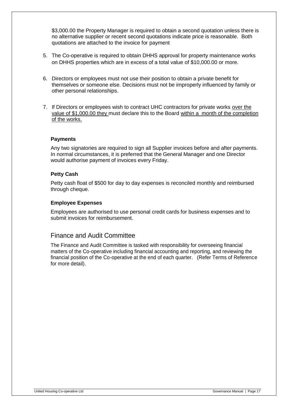\$3,000.00 the Property Manager is required to obtain a second quotation unless there is no alternative supplier or recent second quotations indicate price is reasonable. Both quotations are attached to the invoice for payment

- 5. The Co-operative is required to obtain DHHS approval for property maintenance works on DHHS properties which are in excess of a total value of \$10,000.00 or more.
- 6. Directors or employees must not use their position to obtain a private benefit for themselves or someone else. Decisions must not be improperly influenced by family or other personal relationships.
- 7. If Directors or employees wish to contract UHC contractors for private works over the value of \$1,000.00 they must declare this to the Board within a month of the completion of the works.

### **Payments**

Any two signatories are required to sign all Supplier invoices before and after payments. In normal circumstances, it is preferred that the General Manager and one Director would authorise payment of invoices every Friday.

### **Petty Cash**

Petty cash float of \$500 for day to day expenses is reconciled monthly and reimbursed through cheque.

#### **Employee Expenses**

Employees are authorised to use personal credit cards for business expenses and to submit invoices for reimbursement.

# Finance and Audit Committee

The Finance and Audit Committee is tasked with responsibility for overseeing financial matters of the Co-operative including financial accounting and reporting, and reviewing the financial position of the Co-operative at the end of each quarter. (Refer Terms of Reference for more detail).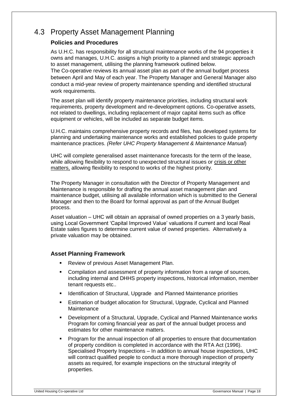# 4.3 Property Asset Management Planning

# **Policies and Procedures**

As U.H.C. has responsibility for all structural maintenance works of the 94 properties it owns and manages, U.H.C. assigns a high priority to a planned and strategic approach to asset management, utilising the planning framework outlined below.

The Co-operative reviews its annual asset plan as part of the annual budget process between April and May of each year. The Property Manager and General Manager also conduct a mid-year review of property maintenance spending and identified structural work requirements.

The asset plan will identify property maintenance priorities, including structural work requirements, property development and re-development options. Co-operative assets, not related to dwellings, including replacement of major capital items such as office equipment or vehicles, will be included as separate budget items.

U.H.C. maintains comprehensive property records and files, has developed systems for planning and undertaking maintenance works and established policies to guide property maintenance practices. *(Refer UHC Property Management & Maintenance Manual*)

UHC will complete generalised asset maintenance forecasts for the term of the lease, while allowing flexibility to respond to unexpected structural issues or crisis or other matters, allowing flexibility to respond to works of the highest priority.

The Property Manager in consultation with the Director of Property Management and Maintenance is responsible for drafting the annual asset management plan and maintenance budget, utilising all available information which is submitted to the General Manager and then to the Board for formal approval as part of the Annual Budget process.

Asset valuation – UHC will obtain an appraisal of owned properties on a 3 yearly basis, using Local Government 'Capital Improved Value' valuations if current and local Real Estate sales figures to determine current value of owned properties. Alternatively a private valuation may be obtained.

## **Asset Planning Framework**

- **Review of previous Asset Management Plan.**
- **Compilation and assessment of property information from a range of sources,** including internal and DHHS property inspections, historical information, member tenant requests etc..
- **IDENTIFICATE:** Identification of Structural, Upgrade and Planned Maintenance priorities
- Estimation of budget allocation for Structural, Upgrade, Cyclical and Planned **Maintenance**
- Development of a Structural, Upgrade, Cyclical and Planned Maintenance works Program for coming financial year as part of the annual budget process and estimates for other maintenance matters.
- Program for the annual inspection of all properties to ensure that documentation of property condition is completed in accordance with the RTA Act (1996). Specialised Property Inspections – In addition to annual house inspections, UHC will contract qualified people to conduct a more thorough inspection of property assets as required, for example inspections on the structural integrity of properties.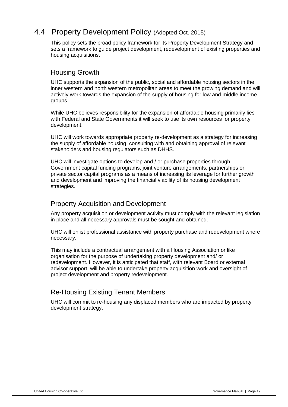# 4.4 Property Development Policy (Adopted Oct. 2015)

This policy sets the broad policy framework for its Property Development Strategy and sets a framework to guide project development, redevelopment of existing properties and housing acquisitions.

# Housing Growth

UHC supports the expansion of the public, social and affordable housing sectors in the inner western and north western metropolitan areas to meet the growing demand and will actively work towards the expansion of the supply of housing for low and middle income groups.

While UHC believes responsibility for the expansion of affordable housing primarily lies with Federal and State Governments it will seek to use its own resources for property development.

UHC will work towards appropriate property re-development as a strategy for increasing the supply of affordable housing, consulting with and obtaining approval of relevant stakeholders and housing regulators such as DHHS.

UHC will investigate options to develop and / or purchase properties through Government capital funding programs, joint venture arrangements, partnerships or private sector capital programs as a means of increasing its leverage for further growth and development and improving the financial viability of its housing development strategies.

# Property Acquisition and Development

Any property acquisition or development activity must comply with the relevant legislation in place and all necessary approvals must be sought and obtained.

UHC will enlist professional assistance with property purchase and redevelopment where necessary.

This may include a contractual arrangement with a Housing Association or like organisation for the purpose of undertaking property development and/ or redevelopment. However, it is anticipated that staff, with relevant Board or external advisor support, will be able to undertake property acquisition work and oversight of project development and property redevelopment.

# Re-Housing Existing Tenant Members

UHC will commit to re-housing any displaced members who are impacted by property development strategy.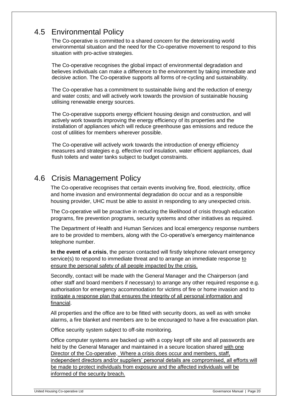# 4.5 Environmental Policy

The Co-operative is committed to a shared concern for the deteriorating world environmental situation and the need for the Co-operative movement to respond to this situation with pro-active strategies.

The Co-operative recognises the global impact of environmental degradation and believes individuals can make a difference to the environment by taking immediate and decisive action. The Co-operative supports all forms of re-cycling and sustainability.

The Co-operative has a commitment to sustainable living and the reduction of energy and water costs; and will actively work towards the provision of sustainable housing utilising renewable energy sources.

The Co-operative supports energy efficient housing design and construction, and will actively work towards improving the energy efficiency of its properties and the installation of appliances which will reduce greenhouse gas emissions and reduce the cost of utilities for members wherever possible.

The Co-operative will actively work towards the introduction of energy efficiency measures and strategies e.g. effective roof insulation, water efficient appliances, dual flush toilets and water tanks subject to budget constraints.

# 4.6 Crisis Management Policy

The Co-operative recognises that certain events involving fire, flood, electricity, office and home invasion and environmental degradation do occur and as a responsible housing provider, UHC must be able to assist in responding to any unexpected crisis.

The Co-operative will be proactive in reducing the likelihood of crisis through education programs, fire prevention programs, security systems and other initiatives as required.

The Department of Health and Human Services and local emergency response numbers are to be provided to members, along with the Co-operative's emergency maintenance telephone number.

**In the event of a crisis**, the person contacted will firstly telephone relevant emergency service(s) to respond to immediate threat and to arrange an immediate response to ensure the personal safety of all people impacted by the crisis.

Secondly, contact will be made with the General Manager and the Chairperson (and other staff and board members if necessary) to arrange any other required response e.g. authorisation for emergency accommodation for victims of fire or home invasion and to instigate a response plan that ensures the integrity of all personal information and financial.

All properties and the office are to be fitted with security doors, as well as with smoke alarms, a fire blanket and members are to be encouraged to have a fire evacuation plan.

Office security system subject to off-site monitoring.

Office computer systems are backed up with a copy kept off site and all passwords are held by the General Manager and maintained in a secure location shared with one Director of the Co-operative. Where a crisis does occur and members, staff, independent directors and/or suppliers' personal details are compromised, all efforts will be made to protect individuals from exposure and the affected individuals will be informed of the security breach.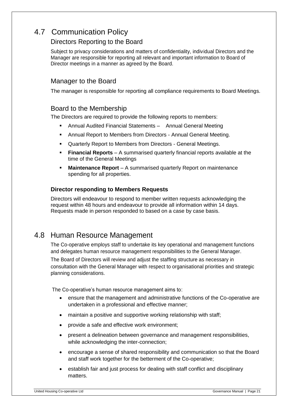# 4.7 Communication Policy

# Directors Reporting to the Board

Subject to privacy considerations and matters of confidentiality, individual Directors and the Manager are responsible for reporting all relevant and important information to Board of Director meetings in a manner as agreed by the Board.

# Manager to the Board

The manager is responsible for reporting all compliance requirements to Board Meetings.

# Board to the Membership

The Directors are required to provide the following reports to members:

- Annual Audited Financial Statements Annual General Meeting
- Annual Report to Members from Directors Annual General Meeting.
- Quarterly Report to Members from Directors General Meetings.
- **Financial Reports** A summarised quarterly financial reports available at the time of the General Meetings
- **Maintenance Report** A summarised quarterly Report on maintenance spending for all properties.

# **Director responding to Members Requests**

Directors will endeavour to respond to member written requests acknowledging the request within 48 hours and endeavour to provide all information within 14 days. Requests made in person responded to based on a case by case basis.

# 4.8 Human Resource Management

The Co-operative employs staff to undertake its key operational and management functions and delegates human resource management responsibilities to the General Manager.

The Board of Directors will review and adjust the staffing structure as necessary in consultation with the General Manager with respect to organisational priorities and strategic planning considerations.

The Co-operative's human resource management aims to:

- ensure that the management and administrative functions of the Co-operative are undertaken in a professional and effective manner;
- maintain a positive and supportive working relationship with staff;
- provide a safe and effective work environment;
- present a delineation between governance and management responsibilities, while acknowledging the inter-connection;
- encourage a sense of shared responsibility and communication so that the Board and staff work together for the betterment of the Co-operative;
- establish fair and just process for dealing with staff conflict and disciplinary matters.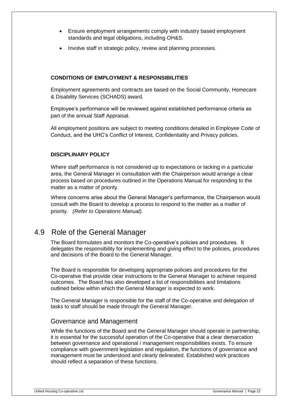- Ensure employment arrangements comply with industry based employment standards and legal obligations, including OH&S.
- Involve staff in strategic policy, review and planning processes.

## **CONDITIONS OF EMPLOYMENT & RESPONSIBILITIES**

Employment agreements and contracts are based on the Social Community, Homecare & Disability Services (SCHADS) award.

Employee's performance will be reviewed against established performance criteria as part of the annual Staff Appraisal.

All employment positions are subject to meeting conditions detailed in Employee Code of Conduct, and the UHC's Conflict of Interest, Confidentiality and Privacy policies.

### **DISCIPLINARY POLICY**

Where staff performance is not considered up to expectations or lacking in a particular area, the General Manager in consultation with the Chairperson would arrange a clear process based on procedures outlined in the Operations Manual for responding to the matter as a matter of priority.

Where concerns arise about the General Manager's performance, the Chairperson would consult with the Board to develop a process to respond to the matter as a matter of priority. *(Refer to Operations Manual).* 

# 4.9 Role of the General Manager

The Board formulates and monitors the Co-operative's policies and procedures. It delegates the responsibility for implementing and giving effect to the policies, procedures and decisions of the Board to the General Manager.

The Board is responsible for developing appropriate policies and procedures for the Co-operative that provide clear instructions to the General Manager to achieve required outcomes. The Board has also developed a list of responsibilities and limitations outlined below within which the General Manager is expected to work.

The General Manager is responsible for the staff of the Co-operative and delegation of tasks to staff should be made through the General Manager.

# Governance and Management

While the functions of the Board and the General Manager should operate in partnership, it is essential for the successful operation of the Co-operative that a clear demarcation between governance and operational / management responsibilities exists. To ensure compliance with government legislation and regulation, the functions of governance and management must be understood and clearly delineated. Established work practices should reflect a separation of these functions.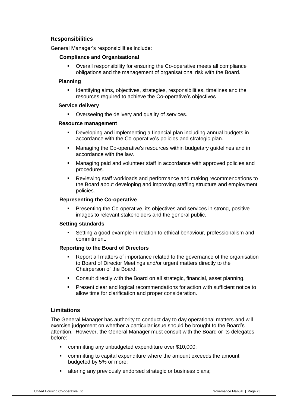## **Responsibilities**

General Manager's responsibilities include:

#### **Compliance and Organisational**

 Overall responsibility for ensuring the Co-operative meets all compliance obligations and the management of organisational risk with the Board.

#### **Planning**

**IDENTIFY IDENTIFY IDEO** in Identifying aims, objectives, strategies, responsibilities, timelines and the resources required to achieve the Co-operative's objectives.

#### **Service delivery**

**•** Overseeing the delivery and quality of services.

#### **Resource management**

- Developing and implementing a financial plan including annual budgets in accordance with the Co-operative's policies and strategic plan.
- Managing the Co-operative's resources within budgetary guidelines and in accordance with the law.
- Managing paid and volunteer staff in accordance with approved policies and procedures.
- Reviewing staff workloads and performance and making recommendations to the Board about developing and improving staffing structure and employment policies.

#### **Representing the Co-operative**

 Presenting the Co-operative, its objectives and services in strong, positive images to relevant stakeholders and the general public.

#### **Setting standards**

 Setting a good example in relation to ethical behaviour, professionalism and commitment.

### **Reporting to the Board of Directors**

- Report all matters of importance related to the governance of the organisation to Board of Director Meetings and/or urgent matters directly to the Chairperson of the Board.
- Consult directly with the Board on all strategic, financial, asset planning.
- Present clear and logical recommendations for action with sufficient notice to allow time for clarification and proper consideration.

### **Limitations**

The General Manager has authority to conduct day to day operational matters and will exercise judgement on whether a particular issue should be brought to the Board's attention. However, the General Manager must consult with the Board or its delegates before:

- committing any unbudgeted expenditure over \$10,000;
- committing to capital expenditure where the amount exceeds the amount budgeted by 5% or more;
- **EXEDENT Altering any previously endorsed strategic or business plans;**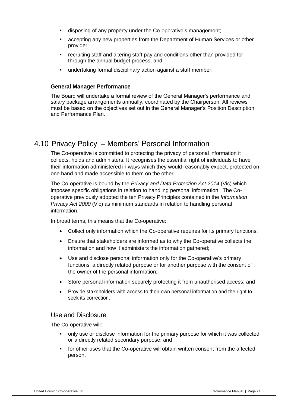- disposing of any property under the Co-operative's management;
- accepting any new properties from the Department of Human Services or other provider;
- **F** recruiting staff and altering staff pay and conditions other than provided for through the annual budget process; and
- undertaking formal disciplinary action against a staff member.

# **General Manager Performance**

The Board will undertake a formal review of the General Manager's performance and salary package arrangements annually, coordinated by the Chairperson. All reviews must be based on the objectives set out in the General Manager's Position Description and Performance Plan.

# 4.10 Privacy Policy – Members' Personal Information

The Co-operative is committed to protecting the privacy of personal information it collects, holds and administers. It recognises the essential right of individuals to have their information administered in ways which they would reasonably expect, protected on one hand and made accessible to them on the other.

The Co-operative is bound by the *Privacy and Data Protection Act 2014* (Vic) which imposes specific obligations in relation to handling personal information. The Cooperative previously adopted the ten Privacy Principles contained in the *Information Privacy Act 2000* (Vic) as minimum standards in relation to handling personal information.

In broad terms, this means that the Co-operative:

- Collect only information which the Co-operative requires for its primary functions;
- Ensure that stakeholders are informed as to why the Co-operative collects the information and how it administers the information gathered;
- Use and disclose personal information only for the Co-operative's primary functions, a directly related purpose or for another purpose with the consent of the owner of the personal information;
- Store personal information securely protecting it from unauthorised access; and
- Provide stakeholders with access to their own personal information and the right to seek its correction.

# Use and Disclosure

The Co-operative will:

- only use or disclose information for the primary purpose for which it was collected or a directly related secondary purpose; and
- **for other uses that the Co-operative will obtain written consent from the affected** person.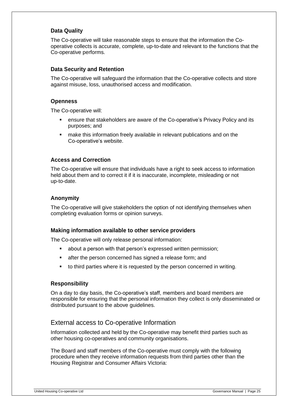# **Data Quality**

The Co-operative will take reasonable steps to ensure that the information the Cooperative collects is accurate, complete, up-to-date and relevant to the functions that the Co-operative performs.

## **Data Security and Retention**

The Co-operative will safeguard the information that the Co-operative collects and store against misuse, loss, unauthorised access and modification.

## **Openness**

The Co-operative will:

- ensure that stakeholders are aware of the Co-operative's Privacy Policy and its purposes; and
- make this information freely available in relevant publications and on the Co-operative's website.

## **Access and Correction**

The Co-operative will ensure that individuals have a right to seek access to information held about them and to correct it if it is inaccurate, incomplete, misleading or not up-to-date.

## **Anonymity**

The Co-operative will give stakeholders the option of not identifying themselves when completing evaluation forms or opinion surveys.

### **Making information available to other service providers**

The Co-operative will only release personal information:

- **•** about a person with that person's expressed written permission;
- **EXECT:** after the person concerned has signed a release form; and
- to third parties where it is requested by the person concerned in writing.

## **Responsibility**

On a day to day basis, the Co-operative's staff, members and board members are responsible for ensuring that the personal information they collect is only disseminated or distributed pursuant to the above guidelines.

# External access to Co-operative Information

Information collected and held by the Co-operative may benefit third parties such as other housing co-operatives and community organisations.

The Board and staff members of the Co-operative must comply with the following procedure when they receive information requests from third parties other than the Housing Registrar and Consumer Affairs Victoria: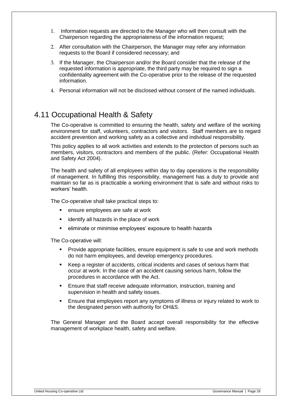- 1. Information requests are directed to the Manager who will then consult with the Chairperson regarding the appropriateness of the information request;
- 2. After consultation with the Chairperson, the Manager may refer any information requests to the Board if considered necessary; and
- 3. If the Manager, the Chairperson and/or the Board consider that the release of the requested information is appropriate, the third party may be required to sign a confidentiality agreement with the Co-operative prior to the release of the requested information.
- 4. Personal information will not be disclosed without consent of the named individuals.

# 4.11 Occupational Health & Safety

The Co-operative is committed to ensuring the health, safety and welfare of the working environment for staff, volunteers, contractors and visitors. Staff members are to regard accident prevention and working safety as a collective and individual responsibility.

This policy applies to all work activities and extends to the protection of persons such as members, visitors, contractors and members of the public. (Refer: Occupational Health and Safety Act 2004).

The health and safety of all employees within day to day operations is the responsibility of management. In fulfilling this responsibility, management has a duty to provide and maintain so far as is practicable a working environment that is safe and without risks to workers' health.

The Co-operative shall take practical steps to:

- **EXEC** ensure employees are safe at work
- **EXEDENT** identify all hazards in the place of work
- eliminate or minimise employees' exposure to health hazards

The Co-operative will:

- Provide appropriate facilities, ensure equipment is safe to use and work methods do not harm employees, and develop emergency procedures.
- Keep a register of accidents, critical incidents and cases of serious harm that occur at work. In the case of an accident causing serious harm, follow the procedures in accordance with the Act.
- Ensure that staff receive adequate information, instruction, training and supervision in health and safety issues.
- Ensure that employees report any symptoms of illness or injury related to work to the designated person with authority for OH&S.

The General Manager and the Board accept overall responsibility for the effective management of workplace health, safety and welfare.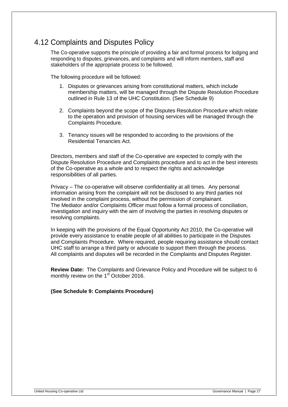# 4.12 Complaints and Disputes Policy

The Co-operative supports the principle of providing a fair and formal process for lodging and responding to disputes, grievances, and complaints and will inform members, staff and stakeholders of the appropriate process to be followed.

The following procedure will be followed:

- 1. Disputes or grievances arising from constitutional matters, which include membership matters, will be managed through the Dispute Resolution Procedure outlined in Rule 13 of the UHC Constitution. (See Schedule 9)
- 2. Complaints beyond the scope of the Disputes Resolution Procedure which relate to the operation and provision of housing services will be managed through the Complaints Procedure.
- 3. Tenancy issues will be responded to according to the provisions of the Residential Tenancies Act.

Directors, members and staff of the Co-operative are expected to comply with the Dispute Resolution Procedure and Complaints procedure and to act in the best interests of the Co-operative as a whole and to respect the rights and acknowledge responsibilities of all parties.

Privacy – The co-operative will observe confidentiality at all times. Any personal information arising from the complaint will not be disclosed to any third parties not involved in the complaint process, without the permission of complainant. The Mediator and/or Complaints Officer must follow a formal process of conciliation, investigation and inquiry with the aim of involving the parties in resolving disputes or resolving complaints.

In keeping with the provisions of the Equal Opportunity Act 2010, the Co-operative will provide every assistance to enable people of all abilities to participate in the Disputes and Complaints Procedure. Where required, people requiring assistance should contact UHC staff to arrange a third party or advocate to support them through the process. All complaints and disputes will be recorded in the Complaints and Disputes Register.

**Review Date:** The Complaints and Grievance Policy and Procedure will be subject to 6 monthly review on the 1<sup>st</sup> October 2016.

### **(See Schedule 9: Complaints Procedure)**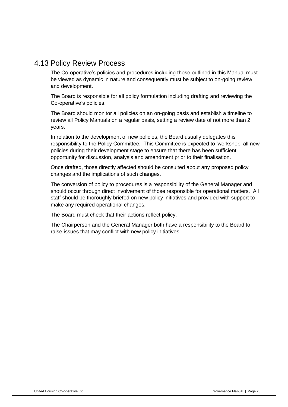# 4.13 Policy Review Process

The Co-operative's policies and procedures including those outlined in this Manual must be viewed as dynamic in nature and consequently must be subject to on-going review and development.

The Board is responsible for all policy formulation including drafting and reviewing the Co-operative's policies.

The Board should monitor all policies on an on-going basis and establish a timeline to review all Policy Manuals on a regular basis, setting a review date of not more than 2 years.

In relation to the development of new policies, the Board usually delegates this responsibility to the Policy Committee. This Committee is expected to 'workshop' all new policies during their development stage to ensure that there has been sufficient opportunity for discussion, analysis and amendment prior to their finalisation.

Once drafted, those directly affected should be consulted about any proposed policy changes and the implications of such changes.

The conversion of policy to procedures is a responsibility of the General Manager and should occur through direct involvement of those responsible for operational matters. All staff should be thoroughly briefed on new policy initiatives and provided with support to make any required operational changes.

The Board must check that their actions reflect policy.

The Chairperson and the General Manager both have a responsibility to the Board to raise issues that may conflict with new policy initiatives.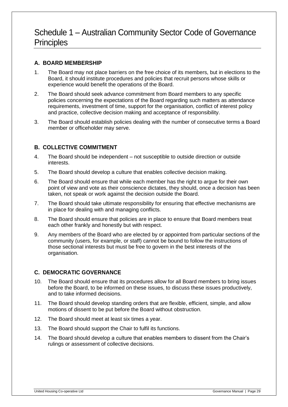# Schedule 1 – Australian Community Sector Code of Governance **Principles**

# **A. BOARD MEMBERSHIP**

- 1. The Board may not place barriers on the free choice of its members, but in elections to the Board, it should institute procedures and policies that recruit persons whose skills or experience would benefit the operations of the Board.
- 2. The Board should seek advance commitment from Board members to any specific policies concerning the expectations of the Board regarding such matters as attendance requirements, investment of time, support for the organisation, conflict of interest policy and practice, collective decision making and acceptance of responsibility.
- 3. The Board should establish policies dealing with the number of consecutive terms a Board member or officeholder may serve.

# **B. COLLECTIVE COMMITMENT**

- 4. The Board should be independent not susceptible to outside direction or outside interests.
- 5. The Board should develop a culture that enables collective decision making.
- 6. The Board should ensure that while each member has the right to argue for their own point of view and vote as their conscience dictates, they should, once a decision has been taken, not speak or work against the decision outside the Board.
- 7. The Board should take ultimate responsibility for ensuring that effective mechanisms are in place for dealing with and managing conflicts.
- 8. The Board should ensure that policies are in place to ensure that Board members treat each other frankly and honestly but with respect.
- 9. Any members of the Board who are elected by or appointed from particular sections of the community (users, for example, or staff) cannot be bound to follow the instructions of those sectional interests but must be free to govern in the best interests of the organisation.

# **C. DEMOCRATIC GOVERNANCE**

- 10. The Board should ensure that its procedures allow for all Board members to bring issues before the Board, to be informed on these issues, to discuss these issues productively, and to take informed decisions.
- 11. The Board should develop standing orders that are flexible, efficient, simple, and allow motions of dissent to be put before the Board without obstruction.
- 12. The Board should meet at least six times a year.
- 13. The Board should support the Chair to fulfil its functions.
- 14. The Board should develop a culture that enables members to dissent from the Chair's rulings or assessment of collective decisions.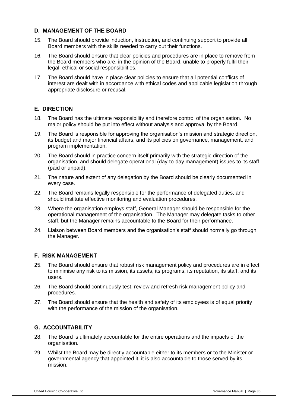# **D. MANAGEMENT OF THE BOARD**

- 15. The Board should provide induction, instruction, and continuing support to provide all Board members with the skills needed to carry out their functions.
- 16. The Board should ensure that clear policies and procedures are in place to remove from the Board members who are, in the opinion of the Board, unable to properly fulfil their legal, ethical or social responsibilities.
- 17. The Board should have in place clear policies to ensure that all potential conflicts of interest are dealt with in accordance with ethical codes and applicable legislation through appropriate disclosure or recusal.

# **E. DIRECTION**

- 18. The Board has the ultimate responsibility and therefore control of the organisation. No major policy should be put into effect without analysis and approval by the Board.
- 19. The Board is responsible for approving the organisation's mission and strategic direction, its budget and major financial affairs, and its policies on governance, management, and program implementation.
- 20. The Board should in practice concern itself primarily with the strategic direction of the organisation, and should delegate operational (day-to-day management) issues to its staff (paid or unpaid).
- 21. The nature and extent of any delegation by the Board should be clearly documented in every case.
- 22. The Board remains legally responsible for the performance of delegated duties, and should institute effective monitoring and evaluation procedures.
- 23. Where the organisation employs staff, General Manager should be responsible for the operational management of the organisation. The Manager may delegate tasks to other staff, but the Manager remains accountable to the Board for their performance.
- 24. Liaison between Board members and the organisation's staff should normally go through the Manager.

## **F. RISK MANAGEMENT**

- 25. The Board should ensure that robust risk management policy and procedures are in effect to minimise any risk to its mission, its assets, its programs, its reputation, its staff, and its users.
- 26. The Board should continuously test, review and refresh risk management policy and procedures.
- 27. The Board should ensure that the health and safety of its employees is of equal priority with the performance of the mission of the organisation.

# **G. ACCOUNTABILITY**

- 28. The Board is ultimately accountable for the entire operations and the impacts of the organisation.
- 29. Whilst the Board may be directly accountable either to its members or to the Minister or governmental agency that appointed it, it is also accountable to those served by its mission.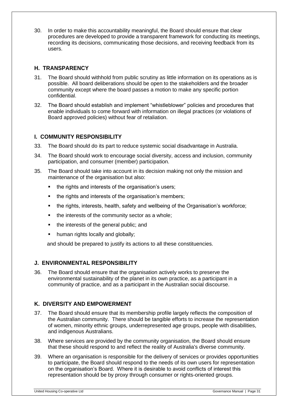30. In order to make this accountability meaningful, the Board should ensure that clear procedures are developed to provide a transparent framework for conducting its meetings, recording its decisions, communicating those decisions, and receiving feedback from its users.

# **H. TRANSPARENCY**

- 31. The Board should withhold from public scrutiny as little information on its operations as is possible. All board deliberations should be open to the stakeholders and the broader community except where the board passes a motion to make any specific portion confidential.
- 32. The Board should establish and implement "whistleblower" policies and procedures that enable individuals to come forward with information on illegal practices (or violations of Board approved policies) without fear of retaliation.

# **I. COMMUNITY RESPONSIBILITY**

- 33. The Board should do its part to reduce systemic social disadvantage in Australia.
- 34. The Board should work to encourage social diversity, access and inclusion, community participation, and consumer (member) participation.
- 35. The Board should take into account in its decision making not only the mission and maintenance of the organisation but also:
	- the rights and interests of the organisation's users;
	- the rights and interests of the organisation's members;
	- the rights, interests, health, safety and wellbeing of the Organisation's workforce;
	- the interests of the community sector as a whole;
	- the interests of the general public; and
	- human rights locally and globally;

and should be prepared to justify its actions to all these constituencies.

# **J. ENVIRONMENTAL RESPONSIBILITY**

36. The Board should ensure that the organisation actively works to preserve the environmental sustainability of the planet in its own practice, as a participant in a community of practice, and as a participant in the Australian social discourse.

## **K. DIVERSITY AND EMPOWERMENT**

- 37. The Board should ensure that its membership profile largely reflects the composition of the Australian community. There should be tangible efforts to increase the representation of women, minority ethnic groups, underrepresented age groups, people with disabilities, and indigenous Australians.
- 38. Where services are provided by the community organisation, the Board should ensure that these should respond to and reflect the reality of Australia's diverse community.
- 39. Where an organisation is responsible for the delivery of services or provides opportunities to participate, the Board should respond to the needs of its own users for representation on the organisation's Board. Where it is desirable to avoid conflicts of interest this representation should be by proxy through consumer or rights-oriented groups.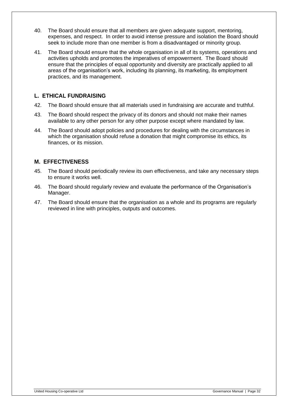- 40. The Board should ensure that all members are given adequate support, mentoring, expenses, and respect. In order to avoid intense pressure and isolation the Board should seek to include more than one member is from a disadvantaged or minority group.
- 41. The Board should ensure that the whole organisation in all of its systems, operations and activities upholds and promotes the imperatives of empowerment. The Board should ensure that the principles of equal opportunity and diversity are practically applied to all areas of the organisation's work, including its planning, its marketing, its employment practices, and its management.

# **L. ETHICAL FUNDRAISING**

- 42. The Board should ensure that all materials used in fundraising are accurate and truthful.
- 43. The Board should respect the privacy of its donors and should not make their names available to any other person for any other purpose except where mandated by law.
- 44. The Board should adopt policies and procedures for dealing with the circumstances in which the organisation should refuse a donation that might compromise its ethics, its finances, or its mission.

## **M. EFFECTIVENESS**

- 45. The Board should periodically review its own effectiveness, and take any necessary steps to ensure it works well.
- 46. The Board should regularly review and evaluate the performance of the Organisation's Manager.
- 47. The Board should ensure that the organisation as a whole and its programs are regularly reviewed in line with principles, outputs and outcomes.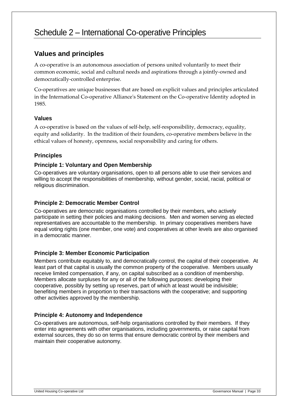# Schedule 2 – International Co-operative Principles

# **Values and principles**

A co-operative is an autonomous association of persons united voluntarily to meet their common economic, social and cultural needs and aspirations through a jointly-owned and democratically-controlled enterprise.

Co-operatives are unique businesses that are based on explicit values and principles articulated in the International Co-operative Alliance's Statement on the Co-operative Identity adopted in 1985.

## **Values**

A co-operative is based on the values of self-help, self-responsibility, democracy, equality, equity and solidarity. In the tradition of their founders, co-operative members believe in the ethical values of honesty, openness, social responsibility and caring for others.

# **Principles**

# **Principle 1: Voluntary and Open Membership**

Co-operatives are voluntary organisations, open to all persons able to use their services and willing to accept the responsibilities of membership, without gender, social, racial, political or religious discrimination.

# **Principle 2: Democratic Member Control**

Co-operatives are democratic organisations controlled by their members, who actively participate in setting their policies and making decisions. Men and women serving as elected representatives are accountable to the membership. In primary cooperatives members have equal voting rights (one member, one vote) and cooperatives at other levels are also organised in a democratic manner.

# **Principle 3: Member Economic Participation**

Members contribute equitably to, and democratically control, the capital of their cooperative. At least part of that capital is usually the common property of the cooperative. Members usually receive limited compensation, if any, on capital subscribed as a condition of membership. Members allocate surpluses for any or all of the following purposes: developing their cooperative, possibly by setting up reserves, part of which at least would be indivisible; benefiting members in proportion to their transactions with the cooperative; and supporting other activities approved by the membership.

## **Principle 4: Autonomy and Independence**

Co-operatives are autonomous, self-help organisations controlled by their members. If they enter into agreements with other organisations, including governments, or raise capital from external sources, they do so on terms that ensure democratic control by their members and maintain their cooperative autonomy.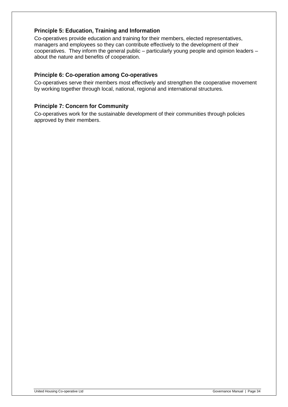# **Principle 5: Education, Training and Information**

Co-operatives provide education and training for their members, elected representatives, managers and employees so they can contribute effectively to the development of their cooperatives. They inform the general public – particularly young people and opinion leaders – about the nature and benefits of cooperation.

## **Principle 6: Co-operation among Co-operatives**

Co-operatives serve their members most effectively and strengthen the cooperative movement by working together through local, national, regional and international structures.

## **Principle 7: Concern for Community**

Co-operatives work for the sustainable development of their communities through policies approved by their members.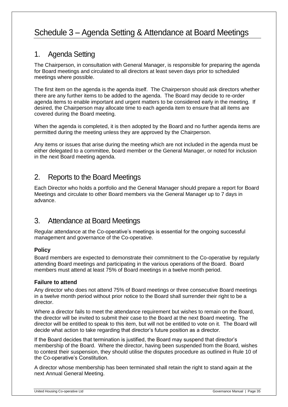# Schedule 3 – Agenda Setting & Attendance at Board Meetings

# 1. Agenda Setting

The Chairperson, in consultation with General Manager, is responsible for preparing the agenda for Board meetings and circulated to all directors at least seven days prior to scheduled meetings where possible.

The first item on the agenda is the agenda itself. The Chairperson should ask directors whether there are any further items to be added to the agenda. The Board may decide to re-order agenda items to enable important and urgent matters to be considered early in the meeting. If desired, the Chairperson may allocate time to each agenda item to ensure that all items are covered during the Board meeting.

When the agenda is completed, it is then adopted by the Board and no further agenda items are permitted during the meeting unless they are approved by the Chairperson.

Any items or issues that arise during the meeting which are not included in the agenda must be either delegated to a committee, board member or the General Manager, or noted for inclusion in the next Board meeting agenda.

# 2. Reports to the Board Meetings

Each Director who holds a portfolio and the General Manager should prepare a report for Board Meetings and circulate to other Board members via the General Manager up to 7 days in advance.

# 3. Attendance at Board Meetings

Regular attendance at the Co-operative's meetings is essential for the ongoing successful management and governance of the Co-operative.

# **Policy**

Board members are expected to demonstrate their commitment to the Co-operative by regularly attending Board meetings and participating in the various operations of the Board. Board members must attend at least 75% of Board meetings in a twelve month period.

## **Failure to attend**

Any director who does not attend 75% of Board meetings or three consecutive Board meetings in a twelve month period without prior notice to the Board shall surrender their right to be a director.

Where a director fails to meet the attendance requirement but wishes to remain on the Board, the director will be invited to submit their case to the Board at the next Board meeting. The director will be entitled to speak to this item, but will not be entitled to vote on it. The Board will decide what action to take regarding that director's future position as a director.

If the Board decides that termination is justified, the Board may suspend that director's membership of the Board. Where the director, having been suspended from the Board, wishes to contest their suspension, they should utilise the disputes procedure as outlined in Rule 10 of the Co-operative's Constitution.

A director whose membership has been terminated shall retain the right to stand again at the next Annual General Meeting.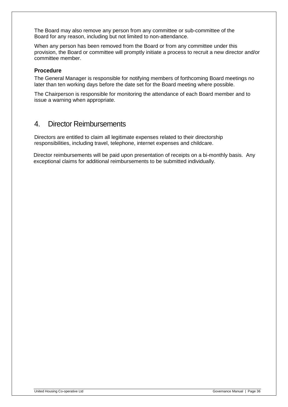The Board may also remove any person from any committee or sub-committee of the Board for any reason, including but not limited to non-attendance.

When any person has been removed from the Board or from any committee under this provision, the Board or committee will promptly initiate a process to recruit a new director and/or committee member.

### **Procedure**

The General Manager is responsible for notifying members of forthcoming Board meetings no later than ten working days before the date set for the Board meeting where possible.

The Chairperson is responsible for monitoring the attendance of each Board member and to issue a warning when appropriate.

# 4. Director Reimbursements

Directors are entitled to claim all legitimate expenses related to their directorship responsibilities, including travel, telephone, internet expenses and childcare.

Director reimbursements will be paid upon presentation of receipts on a bi-monthly basis. Any exceptional claims for additional reimbursements to be submitted individually.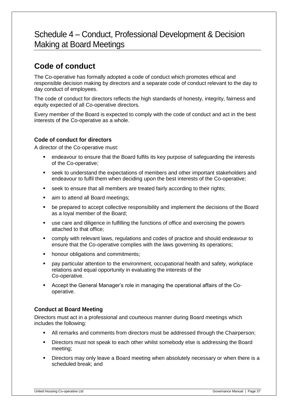# Schedule 4 – Conduct, Professional Development & Decision Making at Board Meetings

# **Code of conduct**

The Co-operative has formally adopted a code of conduct which promotes ethical and responsible decision making by directors and a separate code of conduct relevant to the day to day conduct of employees.

The code of conduct for directors reflects the high standards of honesty, integrity, fairness and equity expected of all Co-operative directors.

Every member of the Board is expected to comply with the code of conduct and act in the best interests of the Co-operative as a whole.

# **Code of conduct for directors**

A director of the Co-operative must:

- endeavour to ensure that the Board fulfils its key purpose of safeguarding the interests of the Co-operative;
- seek to understand the expectations of members and other important stakeholders and endeavour to fulfil them when deciding upon the best interests of the Co-operative;
- **seek to ensure that all members are treated fairly according to their rights;**
- aim to attend all Board meetings;
- be prepared to accept collective responsibility and implement the decisions of the Board as a loyal member of the Board;
- use care and diligence in fulfilling the functions of office and exercising the powers attached to that office;
- comply with relevant laws, regulations and codes of practice and should endeavour to ensure that the Co-operative complies with the laws governing its operations;
- **•** honour obligations and commitments;
- pay particular attention to the environment, occupational health and safety, workplace relations and equal opportunity in evaluating the interests of the Co-operative.
- Accept the General Manager's role in managing the operational affairs of the Cooperative.

# **Conduct at Board Meeting**

Directors must act in a professional and courteous manner during Board meetings which includes the following:

- All remarks and comments from directors must be addressed through the Chairperson;
- Directors must not speak to each other whilst somebody else is addressing the Board meeting;
- Directors may only leave a Board meeting when absolutely necessary or when there is a scheduled break; and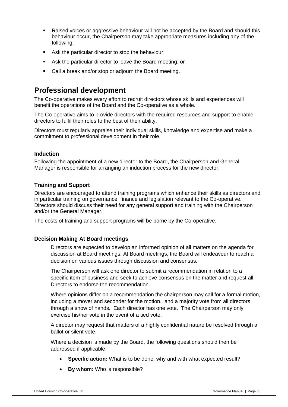- Raised voices or aggressive behaviour will not be accepted by the Board and should this behaviour occur, the Chairperson may take appropriate measures including any of the following:
- Ask the particular director to stop the behaviour;
- Ask the particular director to leave the Board meeting; or
- Call a break and/or stop or adjourn the Board meeting.

# **Professional development**

The Co-operative makes every effort to recruit directors whose skills and experiences will benefit the operations of the Board and the Co-operative as a whole.

The Co-operative aims to provide directors with the required resources and support to enable directors to fulfil their roles to the best of their ability.

Directors must regularly appraise their individual skills, knowledge and expertise and make a commitment to professional development in their role.

### **Induction**

Following the appointment of a new director to the Board, the Chairperson and General Manager is responsible for arranging an induction process for the new director.

## **Training and Support**

Directors are encouraged to attend training programs which enhance their skills as directors and in particular training on governance, finance and legislation relevant to the Co-operative. Directors should discuss their need for any general support and training with the Chairperson and/or the General Manager.

The costs of training and support programs will be borne by the Co-operative.

### **Decision Making At Board meetings**

Directors are expected to develop an informed opinion of all matters on the agenda for discussion at Board meetings. At Board meetings, the Board will endeavour to reach a decision on various issues through discussion and consensus.

The Chairperson will ask one director to submit a recommendation in relation to a specific item of business and seek to achieve consensus on the matter and request all Directors to endorse the recommendation.

Where opinions differ on a recommendation the chairperson may call for a formal motion, including a mover and seconder for the motion, and a majority vote from all directors through a show of hands. Each director has one vote. The Chairperson may only exercise his/her vote in the event of a tied vote.

A director may request that matters of a highly confidential nature be resolved through a ballot or silent vote.

Where a decision is made by the Board, the following questions should then be addressed if applicable:

- **Specific action:** What is to be done, why and with what expected result?
- **By whom:** Who is responsible?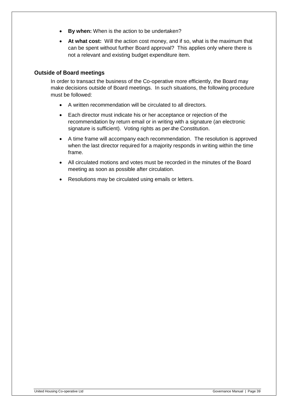- **By when:** When is the action to be undertaken?
- **At what cost:** Will the action cost money, and if so, what is the maximum that can be spent without further Board approval? This applies only where there is not a relevant and existing budget expenditure item.

## **Outside of Board meetings**

In order to transact the business of the Co-operative more efficiently, the Board may make decisions outside of Board meetings. In such situations, the following procedure must be followed:

- A written recommendation will be circulated to all directors.
- Each director must indicate his or her acceptance or rejection of the recommendation by return email or in writing with a signature (an electronic signature is sufficient). Voting rights as per-the Constitution.
- A time frame will accompany each recommendation. The resolution is approved when the last director required for a majority responds in writing within the time frame.
- All circulated motions and votes must be recorded in the minutes of the Board meeting as soon as possible after circulation.
- Resolutions may be circulated using emails or letters.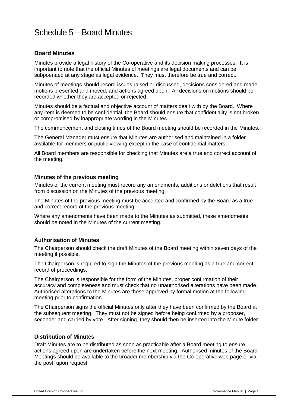# Schedule 5 – Board Minutes

## **Board Minutes**

Minutes provide a legal history of the Co-operative and its decision making processes. It is important to note that the official Minutes of meetings are legal documents and can be subpoenaed at any stage as legal evidence. They must therefore be true and correct.

Minutes of meetings should record issues raised or discussed, decisions considered and made, motions presented and moved, and actions agreed upon. All decisions on motions should be recorded whether they are accepted or rejected.

Minutes should be a factual and objective account of matters dealt with by the Board. Where any item is deemed to be confidential, the Board should ensure that confidentiality is not broken or compromised by inappropriate wording in the Minutes.

The commencement and closing times of the Board meeting should be recorded in the Minutes.

The General Manager must ensure that Minutes are authorised and maintained in a folder available for members or public viewing except in the case of confidential matters.

All Board members are responsible for checking that Minutes are a true and correct account of the meeting.

### **Minutes of the previous meeting**

Minutes of the current meeting must record any amendments, additions or deletions that result from discussion on the Minutes of the previous meeting.

The Minutes of the previous meeting must be accepted and confirmed by the Board as a true and correct record of the previous meeting.

Where any amendments have been made to the Minutes as submitted, these amendments should be noted in the Minutes of the current meeting.

## **Authorisation of Minutes**

The Chairperson should check the draft Minutes of the Board meeting within seven days of the meeting if possible.

The Chairperson is required to sign the Minutes of the previous meeting as a true and correct record of proceedings.

The Chairperson is responsible for the form of the Minutes, proper confirmation of their accuracy and completeness and must check that no unauthorised alterations have been made. Authorised alterations to the Minutes are those approved by formal motion at the following meeting prior to confirmation.

The Chairperson signs the official Minutes only after they have been confirmed by the Board at the subsequent meeting. They must not be signed before being confirmed by a proposer, seconder and carried by vote. After signing, they should then be inserted into the Minute folder.

### **Distribution of Minutes**

Draft Minutes are to be distributed as soon as practicable after a Board meeting to ensure actions agreed upon are undertaken before the next meeting. Authorised minutes of the Board Meetings should be available to the broader membership via the Co-operative web page or via the post, upon request.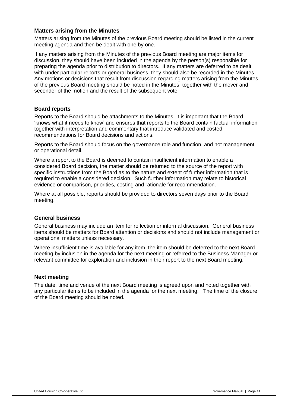## **Matters arising from the Minutes**

Matters arising from the Minutes of the previous Board meeting should be listed in the current meeting agenda and then be dealt with one by one.

If any matters arising from the Minutes of the previous Board meeting are major items for discussion, they should have been included in the agenda by the person(s) responsible for preparing the agenda prior to distribution to directors. If any matters are deferred to be dealt with under particular reports or general business, they should also be recorded in the Minutes. Any motions or decisions that result from discussion regarding matters arising from the Minutes of the previous Board meeting should be noted in the Minutes, together with the mover and seconder of the motion and the result of the subsequent vote.

## **Board reports**

Reports to the Board should be attachments to the Minutes. It is important that the Board 'knows what it needs to know' and ensures that reports to the Board contain factual information together with interpretation and commentary that introduce validated and costed recommendations for Board decisions and actions.

Reports to the Board should focus on the governance role and function, and not management or operational detail.

Where a report to the Board is deemed to contain insufficient information to enable a considered Board decision, the matter should be returned to the source of the report with specific instructions from the Board as to the nature and extent of further information that is required to enable a considered decision. Such further information may relate to historical evidence or comparison, priorities, costing and rationale for recommendation.

Where at all possible, reports should be provided to directors seven days prior to the Board meeting.

### **General business**

General business may include an item for reflection or informal discussion. General business items should be matters for Board attention or decisions and should not include management or operational matters unless necessary.

Where insufficient time is available for any item, the item should be deferred to the next Board meeting by inclusion in the agenda for the next meeting or referred to the Business Manager or relevant committee for exploration and inclusion in their report to the next Board meeting.

### **Next meeting**

The date, time and venue of the next Board meeting is agreed upon and noted together with any particular items to be included in the agenda for the next meeting. The time of the closure of the Board meeting should be noted.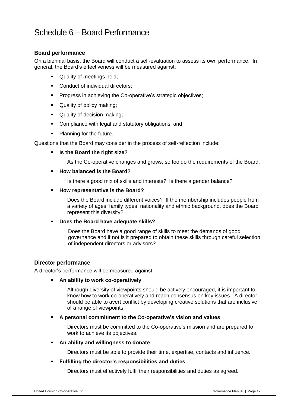# Schedule 6 – Board Performance

## **Board performance**

On a biennial basis, the Board will conduct a self-evaluation to assess its own performance. In general, the Board's effectiveness will be measured against:

- Quality of meetings held;
- Conduct of individual directors;
- **Progress in achieving the Co-operative's strategic objectives;**
- Quality of policy making;
- Quality of decision making;
- **Compliance with legal and statutory obligations; and**
- Planning for the future.

Questions that the Board may consider in the process of self-reflection include:

**Is the Board the right size?**

As the Co-operative changes and grows, so too do the requirements of the Board.

#### **How balanced is the Board?**

Is there a good mix of skills and interests? Is there a gender balance?

#### **How representative is the Board?**

Does the Board include different voices? If the membership includes people from a variety of ages, family types, nationality and ethnic background, does the Board represent this diversity?

### **Does the Board have adequate skills?**

Does the Board have a good range of skills to meet the demands of good governance and if not is it prepared to obtain these skills through careful selection of independent directors or advisors?

### **Director performance**

A director's performance will be measured against:

#### **An ability to work co-operatively**

Although diversity of viewpoints should be actively encouraged, it is important to know how to work co-operatively and reach consensus on key issues. A director should be able to avert conflict by developing creative solutions that are inclusive of a range of viewpoints.

### **A personal commitment to the Co-operative's vision and values**

Directors must be committed to the Co-operative's mission and are prepared to work to achieve its objectives.

#### **An ability and willingness to donate**

Directors must be able to provide their time, expertise, contacts and influence.

### **Fulfilling the director's responsibilities and duties**

Directors must effectively fulfil their responsibilities and duties as agreed.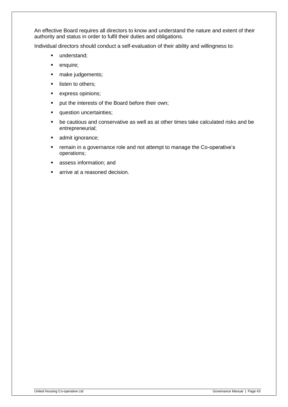An effective Board requires all directors to know and understand the nature and extent of their authority and status in order to fulfil their duties and obligations.

Individual directors should conduct a self-evaluation of their ability and willingness to:

- understand;
- **•** enquire;
- make judgements;
- **I** listen to others;
- **express opinions;**
- **•** put the interests of the Board before their own;
- **question uncertainties;**
- be cautious and conservative as well as at other times take calculated risks and be entrepreneurial;
- **admit ignorance;**
- **F** remain in a governance role and not attempt to manage the Co-operative's operations;
- **assess information; and**
- arrive at a reasoned decision.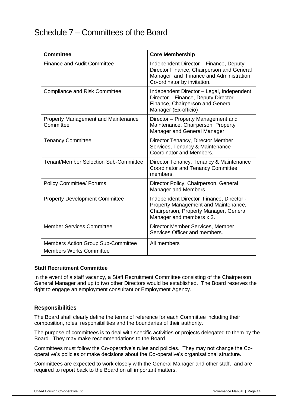# Schedule 7 – Committees of the Board

| <b>Committee</b>                                                            | <b>Core Membership</b>                                                                                                                                       |
|-----------------------------------------------------------------------------|--------------------------------------------------------------------------------------------------------------------------------------------------------------|
| <b>Finance and Audit Committee</b>                                          | Independent Director - Finance, Deputy<br>Director Finance, Chairperson and General<br>Manager and Finance and Administration<br>Co-ordinator by invitation. |
| <b>Compliance and Risk Committee</b>                                        | Independent Director - Legal, Independent<br>Director - Finance, Deputy Director<br>Finance, Chairperson and General<br>Manager (Ex-officio)                 |
| <b>Property Management and Maintenance</b><br>Committee                     | Director – Property Management and<br>Maintenance, Chairperson, Property<br>Manager and General Manager.                                                     |
| <b>Tenancy Committee</b>                                                    | Director Tenancy, Director Member<br>Services, Tenancy & Maintenance<br>Coordinator and Members.                                                             |
| <b>Tenant/Member Selection Sub-Committee</b>                                | Director Tenancy, Tenancy & Maintenance<br><b>Coordinator and Tenancy Committee</b><br>members.                                                              |
| <b>Policy Committee/ Forums</b>                                             | Director Policy, Chairperson, General<br>Manager and Members.                                                                                                |
| <b>Property Development Committee</b>                                       | Independent Director Finance, Director -<br>Property Management and Maintenance,<br>Chairperson, Property Manager, General<br>Manager and members x 2.       |
| <b>Member Services Committee</b>                                            | Director Member Services, Member<br>Services Officer and members.                                                                                            |
| <b>Members Action Group Sub-Committee</b><br><b>Members Works Committee</b> | All members                                                                                                                                                  |

### **Staff Recruitment Committee**

In the event of a staff vacancy, a Staff Recruitment Committee consisting of the Chairperson General Manager and up to two other Directors would be established. The Board reserves the right to engage an employment consultant or Employment Agency.

## **Responsibilities**

The Board shall clearly define the terms of reference for each Committee including their composition, roles, responsibilities and the boundaries of their authority.

The purpose of committees is to deal with specific activities or projects delegated to them by the Board. They may make recommendations to the Board.

Committees must follow the Co-operative's rules and policies. They may not change the Cooperative's policies or make decisions about the Co-operative's organisational structure.

Committees are expected to work closely with the General Manager and other staff, and are required to report back to the Board on all important matters.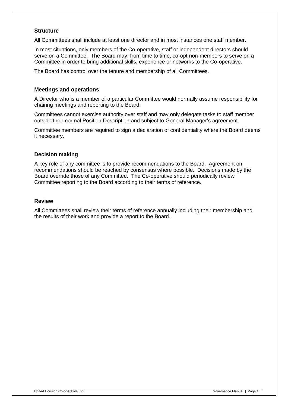# **Structure**

All Committees shall include at least one director and in most instances one staff member.

In most situations, only members of the Co-operative, staff or independent directors should serve on a Committee. The Board may, from time to time, co-opt non-members to serve on a Committee in order to bring additional skills, experience or networks to the Co-operative.

The Board has control over the tenure and membership of all Committees.

## **Meetings and operations**

A Director who is a member of a particular Committee would normally assume responsibility for chairing meetings and reporting to the Board.

Committees cannot exercise authority over staff and may only delegate tasks to staff member outside their normal Position Description and subject to General Manager's agreement.

Committee members are required to sign a declaration of confidentiality where the Board deems it necessary.

## **Decision making**

A key role of any committee is to provide recommendations to the Board. Agreement on recommendations should be reached by consensus where possible. Decisions made by the Board override those of any Committee. The Co-operative should periodically review Committee reporting to the Board according to their terms of reference.

## **Review**

All Committees shall review their terms of reference annually including their membership and the results of their work and provide a report to the Board.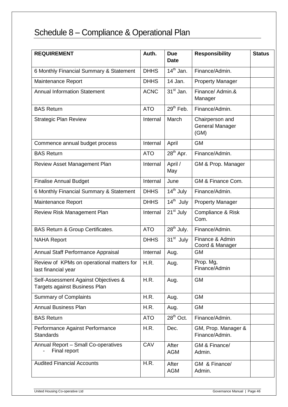# Schedule 8 – Compliance & Operational Plan

| <b>REQUIREMENT</b>                                                    | Auth.       | <b>Due</b><br><b>Date</b> | <b>Responsibility</b>                             | <b>Status</b> |
|-----------------------------------------------------------------------|-------------|---------------------------|---------------------------------------------------|---------------|
| 6 Monthly Financial Summary & Statement                               | <b>DHHS</b> | $14th$ Jan.               | Finance/Admin.                                    |               |
| Maintenance Report                                                    | <b>DHHS</b> | 14 Jan.                   | <b>Property Manager</b>                           |               |
| <b>Annual Information Statement</b>                                   | <b>ACNC</b> | $31st$ Jan.               | Finance/ Admin.&<br>Manager                       |               |
| <b>BAS Return</b>                                                     | <b>ATO</b>  | $29th$ Feb.               | Finance/Admin.                                    |               |
| <b>Strategic Plan Review</b>                                          | Internal    | March                     | Chairperson and<br><b>General Manager</b><br>(GM) |               |
| Commence annual budget process                                        | Internal    | April                     | <b>GM</b>                                         |               |
| <b>BAS Return</b>                                                     | <b>ATO</b>  | $28th$ Apr.               | Finance/Admin.                                    |               |
| Review Asset Management Plan                                          | Internal    | April /<br>May            | GM & Prop. Manager                                |               |
| <b>Finalise Annual Budget</b>                                         | Internal    | June                      | GM & Finance Com.                                 |               |
| 6 Monthly Financial Summary & Statement                               | <b>DHHS</b> | $14th$ July               | Finance/Admin.                                    |               |
| Maintenance Report                                                    | <b>DHHS</b> | $14th$ July               | <b>Property Manager</b>                           |               |
| Review Risk Management Plan                                           | Internal    | 21 <sup>st</sup> July     | Compliance & Risk<br>Com.                         |               |
| <b>BAS Return &amp; Group Certificates.</b>                           | <b>ATO</b>  | $28th$ July.              | Finance/Admin.                                    |               |
| <b>NAHA Report</b>                                                    | <b>DHHS</b> | $31st$ July               | Finance & Admin<br>Coord & Manager                |               |
| Annual Staff Performance Appraisal                                    | Internal    | Aug.                      | <b>GM</b>                                         |               |
| Review of KPMs on operational matters for<br>last financial year      | H.R.        | Aug.                      | Prop. Mg,<br>Finance/Admin                        |               |
| Self-Assessment Against Objectives &<br>Targets against Business Plan | H.R.        | Aug.                      | <b>GM</b>                                         |               |
| <b>Summary of Complaints</b>                                          | H.R.        | Aug.                      | <b>GM</b>                                         |               |
| <b>Annual Business Plan</b>                                           | H.R.        | Aug.                      | <b>GM</b>                                         |               |
| <b>BAS Return</b>                                                     | <b>ATO</b>  | $28th$ Oct.               | Finance/Admin.                                    |               |
| Performance Against Performance<br><b>Standards</b>                   | H.R.        | Dec.                      | GM, Prop. Manager &<br>Finance/Admin.             |               |
| Annual Report - Small Co-operatives<br>Final report                   | CAV         | After<br><b>AGM</b>       | GM & Finance/<br>Admin.                           |               |
| <b>Audited Financial Accounts</b>                                     | H.R.        | After<br><b>AGM</b>       | GM & Finance/<br>Admin.                           |               |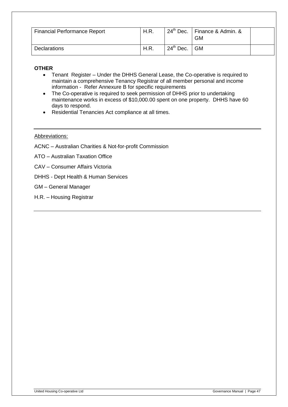| <b>Financial Performance Report</b> | H.R.        |                | $24th$ Dec.   Finance & Admin. &<br><b>GM</b> |  |
|-------------------------------------|-------------|----------------|-----------------------------------------------|--|
| <b>Declarations</b>                 | <b>H.R.</b> | $24th$ Dec. GM |                                               |  |

# **OTHER**

- Tenant Register Under the DHHS General Lease, the Co-operative is required to maintain a comprehensive Tenancy Registrar of all member personal and income information - Refer Annexure B for specific requirements
- The Co-operative is required to seek permission of DHHS prior to undertaking maintenance works in excess of \$10,000.00 spent on one property. DHHS have 60 days to respond.
- Residential Tenancies Act compliance at all times.

### Abbreviations:

- ACNC Australian Charities & Not-for-profit Commission
- ATO Australian Taxation Office
- CAV Consumer Affairs Victoria
- DHHS Dept Health & Human Services
- GM General Manager
- H.R. Housing Registrar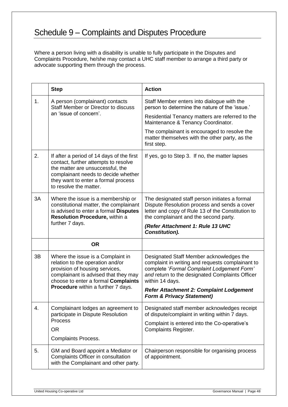# Schedule 9 – Complaints and Disputes Procedure

Where a person living with a disability is unable to fully participate in the Disputes and Complaints Procedure, he/she may contact a UHC staff member to arrange a third party or advocate supporting them through the process.

|    | <b>Step</b>                                                                                                                                                                                                                   | <b>Action</b>                                                                                                                                                                                                    |
|----|-------------------------------------------------------------------------------------------------------------------------------------------------------------------------------------------------------------------------------|------------------------------------------------------------------------------------------------------------------------------------------------------------------------------------------------------------------|
| 1. | A person (complainant) contacts<br>Staff Member or Director to discuss<br>an 'issue of concern'.                                                                                                                              | Staff Member enters into dialogue with the<br>person to determine the nature of the 'issue.'                                                                                                                     |
|    |                                                                                                                                                                                                                               | Residential Tenancy matters are referred to the<br>Maintenance & Tenancy Coordinator.                                                                                                                            |
|    |                                                                                                                                                                                                                               | The complainant is encouraged to resolve the<br>matter themselves with the other party, as the<br>first step.                                                                                                    |
| 2. | If after a period of 14 days of the first<br>contact, further attempts to resolve<br>the matter are unsuccessful, the<br>complainant needs to decide whether<br>they want to enter a formal process<br>to resolve the matter. | If yes, go to Step 3. If no, the matter lapses                                                                                                                                                                   |
| 3A | Where the issue is a membership or<br>constitutional matter, the complainant<br>is advised to enter a formal Disputes<br>Resolution Procedure, within a                                                                       | The designated staff person initiates a formal<br>Dispute Resolution process and sends a cover<br>letter and copy of Rule 13 of the Constitution to<br>the complainant and the second party.                     |
|    | further 7 days.                                                                                                                                                                                                               | (Refer Attachment 1: Rule 13 UHC<br><b>Constitution).</b>                                                                                                                                                        |
|    | <b>OR</b>                                                                                                                                                                                                                     |                                                                                                                                                                                                                  |
| 3B | Where the issue is a Complaint in<br>relation to the operation and/or<br>provision of housing services,<br>complainant is advised that they may<br>choose to enter a formal Complaints                                        | Designated Staff Member acknowledges the<br>complaint in writing and requests complainant to<br>complete 'Formal Complaint Lodgement Form'<br>and return to the designated Complaints Officer<br>within 14 days. |
|    | Procedure within a further 7 days.                                                                                                                                                                                            | <b>Refer Attachment 2: Complaint Lodgement</b><br><b>Form &amp; Privacy Statement)</b>                                                                                                                           |
| 4. | Complainant lodges an agreement to<br>participate in Dispute Resolution                                                                                                                                                       | Designated staff member acknowledges receipt<br>of dispute/complaint in writing within 7 days.                                                                                                                   |
|    | <b>Process</b><br><b>OR</b>                                                                                                                                                                                                   | Complaint is entered into the Co-operative's<br><b>Complaints Register.</b>                                                                                                                                      |
|    | <b>Complaints Process.</b>                                                                                                                                                                                                    |                                                                                                                                                                                                                  |
| 5. | GM and Board appoint a Mediator or<br>Complaints Officer in consultation<br>with the Complainant and other party.                                                                                                             | Chairperson responsible for organising process<br>of appointment.                                                                                                                                                |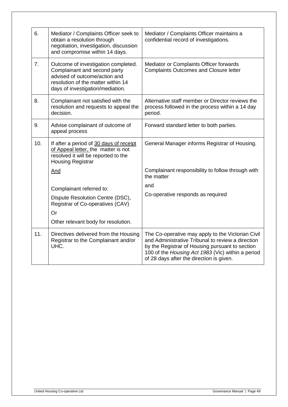| 6.  | Mediator / Complaints Officer seek to<br>obtain a resolution through<br>negotiation, investigation, discussion<br>and compromise within 14 days.                               | Mediator / Complaints Officer maintains a<br>confidential record of investigations.                                                                                                                                                                        |
|-----|--------------------------------------------------------------------------------------------------------------------------------------------------------------------------------|------------------------------------------------------------------------------------------------------------------------------------------------------------------------------------------------------------------------------------------------------------|
| 7.  | Outcome of investigation completed.<br>Complainant and second party<br>advised of outcome/action and<br>resolution of the matter within 14<br>days of investigation/mediation. | Mediator or Complaints Officer forwards<br><b>Complaints Outcomes and Closure letter</b>                                                                                                                                                                   |
| 8.  | Complainant not satisfied with the<br>resolution and requests to appeal the<br>decision.                                                                                       | Alternative staff member or Director reviews the<br>process followed in the process within a 14 day<br>period.                                                                                                                                             |
| 9.  | Advise complainant of outcome of<br>appeal process                                                                                                                             | Forward standard letter to both parties.                                                                                                                                                                                                                   |
| 10. | If after a period of 30 days of receipt<br>of Appeal letter, the matter is not<br>resolved it will be reported to the<br><b>Housing Registrar</b>                              | General Manager informs Registrar of Housing.                                                                                                                                                                                                              |
|     | And                                                                                                                                                                            | Complainant responsibility to follow through with<br>the matter                                                                                                                                                                                            |
|     | Complainant referred to:                                                                                                                                                       | and                                                                                                                                                                                                                                                        |
|     | Dispute Resolution Centre (DSC),<br>Registrar of Co-operatives (CAV)                                                                                                           | Co-operative responds as required                                                                                                                                                                                                                          |
|     | Or                                                                                                                                                                             |                                                                                                                                                                                                                                                            |
|     | Other relevant body for resolution.                                                                                                                                            |                                                                                                                                                                                                                                                            |
| 11. | Directives delivered from the Housing<br>Registrar to the Complainant and/or<br>UHC.                                                                                           | The Co-operative may apply to the Victorian Civil<br>and Administrative Tribunal to review a direction<br>by the Registrar of Housing pursuant to section<br>100 of the Housing Act 1983 (Vic) within a period<br>of 28 days after the direction is given. |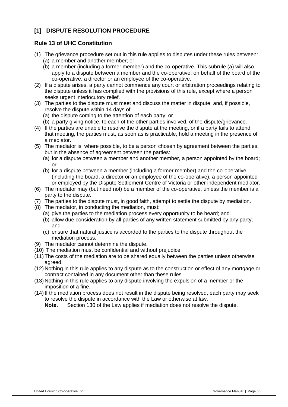# **[1] DISPUTE RESOLUTION PROCEDURE**

# **Rule 13 of UHC Constitution**

- <span id="page-49-0"></span>(1) The grievance procedure set out in this rule applies to disputes under these rules between:
	- (a) a member and another member; or
	- (b) a member (including a former member) and the co-operative. This subrule [\(a\)](#page-49-0) will also apply to a dispute between a member and the co-operative, on behalf of the board of the co-operative, a director or an employee of the co-operative.
- (2) If a dispute arises, a party cannot commence any court or arbitration proceedings relating to the dispute unless it has complied with the provisions of this rule, except where a person seeks urgent interlocutory relief.
- (3) The parties to the dispute must meet and discuss the matter in dispute, and, if possible, resolve the dispute within 14 days of:
	- (a) the dispute coming to the attention of each party; or
	- (b) a party giving notice, to each of the other parties involved, of the dispute/grievance.
- (4) If the parties are unable to resolve the dispute at the meeting, or if a party fails to attend that meeting, the parties must, as soon as is practicable, hold a meeting in the presence of a mediator.
- (5) The mediator is, where possible, to be a person chosen by agreement between the parties, but in the absence of agreement between the parties:
	- (a) for a dispute between a member and another member, a person appointed by the board; or
	- (b) for a dispute between a member (including a former member) and the co-operative (including the board, a director or an employee of the co-operative), a person appointed or employed by the Dispute Settlement Centre of Victoria or other independent mediator.
- (6) The mediator may (but need not) be a member of the co-operative, unless the member is a party to the dispute.
- (7) The parties to the dispute must, in good faith, attempt to settle the dispute by mediation.
- (8) The mediator, in conducting the mediation, must:
	- (a) give the parties to the mediation process every opportunity to be heard; and
	- (b) allow due consideration by all parties of any written statement submitted by any party; and
	- (c) ensure that natural justice is accorded to the parties to the dispute throughout the mediation process.
- (9) The mediator cannot determine the dispute.
- (10) The mediation must be confidential and without prejudice.
- (11) The costs of the mediation are to be shared equally between the parties unless otherwise agreed.
- (12) Nothing in this rule applies to any dispute as to the construction or effect of any mortgage or contract contained in any document other than these rules.
- (13) Nothing in this rule applies to any dispute involving the expulsion of a member or the imposition of a fine.
- (14)If the mediation process does not result in the dispute being resolved, each party may seek to resolve the dispute in accordance with the Law or otherwise at law.

**Note.** Section 130 of the Law applies if mediation does not resolve the dispute.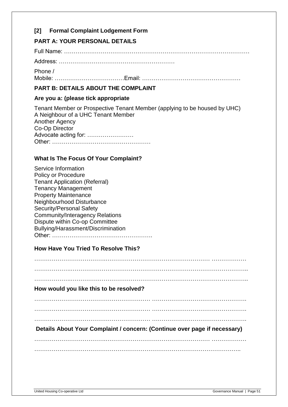# **[2] Formal Complaint Lodgement Form**

# **PART A: YOUR PERSONAL DETAILS**

Full Name: ……………………………………………………………………………………

Address: ……………………………………………………

Phone / Mobile: ………………………………Email: ……………………………………………

# **PART B: DETAILS ABOUT THE COMPLAINT**

# **Are you a: (please tick appropriate**

Tenant Member or Prospective Tenant Member (applying to be housed by UHC) A Neighbour of a UHC Tenant Member Another Agency Co-Op Director Advocate acting for: …………………… Other: ……………………………………………

# **What Is The Focus Of Your Complaint?**

| Service Information                    |
|----------------------------------------|
| <b>Policy or Procedure</b>             |
| <b>Tenant Application (Referral)</b>   |
| <b>Tenancy Management</b>              |
| <b>Property Maintenance</b>            |
| Neighbourhood Disturbance              |
| Security/Personal Safety               |
| <b>Community/Interagency Relations</b> |
| Dispute within Co-op Committee         |
| Bullying/Harassment/Discrimination     |
| Other:                                 |

# **How Have You Tried To Resolve This?**

……………………………….……………………………………………… ……………… ……………….……………………………………………………………………………….. ……………….……………………………………………………………………………….. **How would you like this to be resolved?**  …………………………………………………… …………………………………………. …………………………………………………… …………………………………………. …………………………………………………… …………………………………………. **Details About Your Complaint / concern: (Continue over page if necessary)**  ……………………………….……………………………………………… ……………… ……………………………………………………………………………………………..